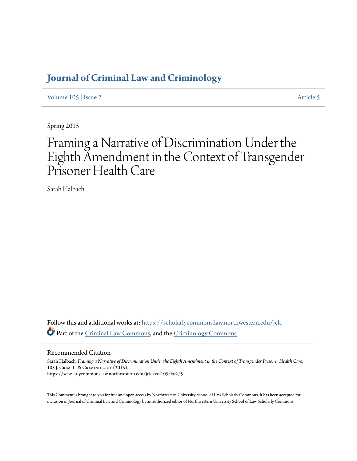# **[Journal of Criminal Law and Criminology](https://scholarlycommons.law.northwestern.edu/jclc?utm_source=scholarlycommons.law.northwestern.edu%2Fjclc%2Fvol105%2Fiss2%2F5&utm_medium=PDF&utm_campaign=PDFCoverPages)**

[Volume 105](https://scholarlycommons.law.northwestern.edu/jclc/vol105?utm_source=scholarlycommons.law.northwestern.edu%2Fjclc%2Fvol105%2Fiss2%2F5&utm_medium=PDF&utm_campaign=PDFCoverPages) | [Issue 2](https://scholarlycommons.law.northwestern.edu/jclc/vol105/iss2?utm_source=scholarlycommons.law.northwestern.edu%2Fjclc%2Fvol105%2Fiss2%2F5&utm_medium=PDF&utm_campaign=PDFCoverPages) [Article 5](https://scholarlycommons.law.northwestern.edu/jclc/vol105/iss2/5?utm_source=scholarlycommons.law.northwestern.edu%2Fjclc%2Fvol105%2Fiss2%2F5&utm_medium=PDF&utm_campaign=PDFCoverPages)

Spring 2015

# Framing a Narrative of Discrimination Under the Eighth Amendment in the Context of Transgender Prisoner Health Care

Sarah Halbach

Follow this and additional works at: [https://scholarlycommons.law.northwestern.edu/jclc](https://scholarlycommons.law.northwestern.edu/jclc?utm_source=scholarlycommons.law.northwestern.edu%2Fjclc%2Fvol105%2Fiss2%2F5&utm_medium=PDF&utm_campaign=PDFCoverPages) Part of the [Criminal Law Commons](http://network.bepress.com/hgg/discipline/912?utm_source=scholarlycommons.law.northwestern.edu%2Fjclc%2Fvol105%2Fiss2%2F5&utm_medium=PDF&utm_campaign=PDFCoverPages), and the [Criminology Commons](http://network.bepress.com/hgg/discipline/417?utm_source=scholarlycommons.law.northwestern.edu%2Fjclc%2Fvol105%2Fiss2%2F5&utm_medium=PDF&utm_campaign=PDFCoverPages)

# Recommended Citation

Sarah Halbach, *Framing a Narrative of Discrimination Under the Eighth Amendment in the Context of Transgender Prisoner Health Care*, 105 J. Crim. L. & Criminology (2015). https://scholarlycommons.law.northwestern.edu/jclc/vol105/iss2/5

This Comment is brought to you for free and open access by Northwestern University School of Law Scholarly Commons. It has been accepted for inclusion in Journal of Criminal Law and Criminology by an authorized editor of Northwestern University School of Law Scholarly Commons.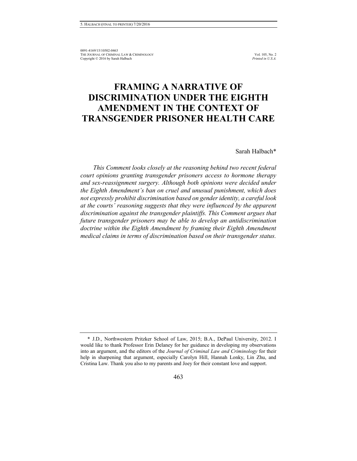# **FRAMING A NARRATIVE OF DISCRIMINATION UNDER THE EIGHTH AMENDMENT IN THE CONTEXT OF TRANSGENDER PRISONER HEALTH CARE**

Sarah Halbach\*

*This Comment looks closely at the reasoning behind two recent federal court opinions granting transgender prisoners access to hormone therapy and sex-reassignment surgery. Although both opinions were decided under the Eighth Amendment's ban on cruel and unusual punishment, which does not expressly prohibit discrimination based on gender identity, a careful look at the courts' reasoning suggests that they were influenced by the apparent discrimination against the transgender plaintiffs. This Comment argues that future transgender prisoners may be able to develop an antidiscrimination doctrine within the Eighth Amendment by framing their Eighth Amendment medical claims in terms of discrimination based on their transgender status.* 

<sup>\*</sup> J.D., Northwestern Pritzker School of Law, 2015; B.A., DePaul University, 2012. I would like to thank Professor Erin Delaney for her guidance in developing my observations into an argument, and the editors of the *Journal of Criminal Law and Criminology* for their help in sharpening that argument, especially Carolyn Hill, Hannah Lonky, Lin Zhu, and Cristina Law. Thank you also to my parents and Joey for their constant love and support.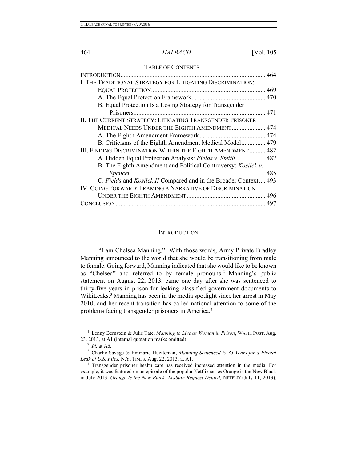#### 464 *HALBACH* [Vol. 105

#### TABLE OF CONTENTS

| I. THE TRADITIONAL STRATEGY FOR LITIGATING DISCRIMINATION:       |      |
|------------------------------------------------------------------|------|
|                                                                  |      |
|                                                                  |      |
| B. Equal Protection Is a Losing Strategy for Transgender         |      |
|                                                                  |      |
| II. THE CURRENT STRATEGY: LITIGATING TRANSGENDER PRISONER        |      |
| MEDICAL NEEDS UNDER THE EIGHTH AMENDMENT 474                     |      |
|                                                                  |      |
| B. Criticisms of the Eighth Amendment Medical Model 479          |      |
| III. FINDING DISCRIMINATION WITHIN THE EIGHTH AMENDMENT 482      |      |
| A. Hidden Equal Protection Analysis: Fields v. Smith 482         |      |
| B. The Eighth Amendment and Political Controversy: Kosilek v.    |      |
|                                                                  | .485 |
| C. Fields and Kosilek II Compared and in the Broader Context 493 |      |
| IV. GOING FORWARD: FRAMING A NARRATIVE OF DISCRIMINATION         |      |
|                                                                  |      |
|                                                                  |      |

# <span id="page-2-0"></span>**INTRODUCTION**

"I am Chelsea Manning."<sup>1</sup> With those words, Army Private Bradley Manning announced to the world that she would be transitioning from male to female. Going forward, Manning indicated that she would like to be known as "Chelsea" and referred to by female pronouns.<sup>2</sup> Manning's public statement on August 22, 2013, came one day after she was sentenced to thirty-five years in prison for leaking classified government documents to WikiLeaks.<sup>3</sup> Manning has been in the media spotlight since her arrest in May 2010, and her recent transition has called national attention to some of the problems facing transgender prisoners in America.<sup>4</sup>

<sup>1</sup> Lenny Bernstein & Julie Tate, *Manning to Live as Woman in Prison*, WASH. POST, Aug. 23, 2013, at A1 (internal quotation marks omitted).

<sup>2</sup> *Id.* at A6.

<sup>3</sup> Charlie Savage & Emmarie Huetteman, *Manning Sentenced to 35 Years for a Pivotal Leak of U.S. Files*, N.Y. TIMES, Aug. 22, 2013, at A1.

<sup>4</sup> Transgender prisoner health care has received increased attention in the media. For example, it was featured on an episode of the popular Netflix series Orange is the New Black in July 2013. *Orange Is the New Black: Lesbian Request Denied,* NETFLIX (July 11, 2013),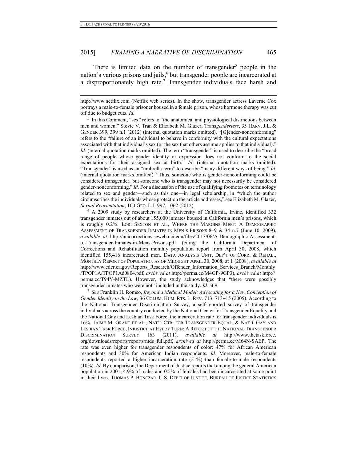<span id="page-3-0"></span>There is limited data on the number of transgender<sup>5</sup> people in the nation's various prisons and jails,<sup>6</sup> but transgender people are incarcerated at a disproportionately high rate.<sup>7</sup> Transgender individuals face harsh and

<sup>5</sup> In this Comment, "sex" refers to "the anatomical and physiological distinctions between men and women." Stevie V. Tran & Elizabeth M. Glazer, Trans*genderless*, 35 HARV. J.L. & GENDER 399, 399 n.1 (2012) (internal quotation marks omitted). "[G]ender-nonconforming" refers to the "failure of an individual to behave in conformity with the cultural expectations associated with that individual's sex (or the sex that others assume applies to that individual)." *Id.* (internal quotation marks omitted). The term "transgender" is used to describe the "broad range of people whose gender identity or expression does not conform to the social expectations for their assigned sex at birth." *Id.* (internal quotation marks omitted). "Transgender" is used as an "umbrella term" to describe "many different ways of being." *Id.* (internal quotation marks omitted). "Thus, someone who is gender-nonconforming could be considered transgender, but someone who is transgender may not necessarily be considered gender-nonconforming." *Id.* For a discussion of the use of qualifying footnotes on terminology related to sex and gender—such as this one—in legal scholarship, in "which the author circumscribes the individuals whose protection the article addresses," see Elizabeth M. Glazer, *Sexual Reorientation*, 100 GEO. L.J. 997, 1062 (2012).

<sup>6</sup> A 2009 study by researchers at the University of California, Irvine, identified 332 transgender inmates out of about 155,000 inmates housed in California men's prisons, which is roughly 0.2%. LORI SEXTON ET AL., WHERE THE MARGINS MEET: A DEMOGRAPHIC ASSESSMENT OF TRANSGENDER INMATES IN MEN'S PRISONS 8–9 & 34 n.7 (June 10, 2009), *available at* http://ucicorrections.seweb.uci.edu/files/2013/06/A-Demographic-Assessmentof-Transgender-Inmates-in-Mens-Prisons.pdf (citing the California Department of Corrections and Rehabilitation monthly population report from April 30, 2008, which identified 155,416 incarcerated men. DATA ANALYSIS UNIT, DEP'T OF CORR. & REHAB., MONTHLY REPORT OF POPULATION AS OF MIDNIGHT APRIL 30, 2008, at 1 (2008), *available at* http://www.cdcr.ca.gov/Reports\_Research/Offender\_Information\_Services\_Branch/Monthly /TPOP1A/TPOP1Ad0804.pdf, *archived at* http://perma.cc/M4GP-9GP3), *archived at* http:// perma.cc/T94Y-MZTL). However, the study acknowledges that "there were possibly transgender inmates who were not" included in the study. *Id.* at 9.

7 *See* Franklin H. Romeo, *Beyond a Medical Model: Advocating for a New Conception of Gender Identity in the Law*, 36 COLUM. HUM. RTS. L. REV. 713, 713-15 (2005). According to the National Transgender Discrimination Survey, a self-reported survey of transgender individuals across the country conducted by the National Center for Transgender Equality and the National Gay and Lesbian Task Force, the incarceration rate for transgender individuals is 16%. JAIME M. GRANT ET AL., NAT'L CTR. FOR TRANSGENDER EQUAL. & NAT'L GAY AND LESBIAN TASK FORCE, INJUSTICE AT EVERY TURN: A REPORT OF THE NATIONAL TRANSGENDER DISCRIMINATION SURVEY 163 (2011), *available at* http://www.thetaskforce. org/downloads/reports/reports/ntds\_full.pdf, *archived at* http://perma.cc/M64N-SAEP. The rate was even higher for transgender respondents of color: 47% for African American respondents and 30% for American Indian respondents. *Id.* Moreover, male-to-female respondents reported a higher incarceration rate (21%) than female-to-male respondents (10%). *Id.* By comparison, the Department of Justice reports that among the general American population in 2001, 4.9% of males and 0.5% of females had been incarcerated at some point in their lives. THOMAS P. BONCZAR, U.S. DEP'T OF JUSTICE, BUREAU OF JUSTICE STATISTICS

http://www.netflix.com (Netflix web series). In the show, transgender actress Laverne Cox portrays a male-to-female prisoner housed in a female prison, whose hormone therapy was cut off due to budget cuts. *Id.*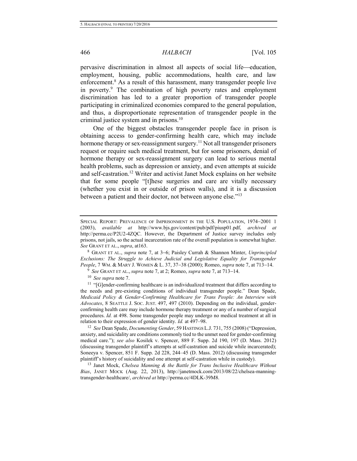pervasive discrimination in almost all aspects of social life-education, employment, housing, public accommodations, health care, and law enforcement.<sup>8</sup> As a result of this harassment, many transgender people live in poverty.<sup>9</sup> The combination of high poverty rates and employment discrimination has led to a greater proportion of transgender people participating in criminalized economies compared to the general population, and thus, a disproportionate representation of transgender people in the criminal justice system and in prisons.<sup>10</sup>

One of the biggest obstacles transgender people face in prison is obtaining access to gender-confirming health care, which may include hormone therapy or sex-reassignment surgery.<sup>11</sup> Not all transgender prisoners request or require such medical treatment, but for some prisoners, denial of hormone therapy or sex-reassignment surgery can lead to serious mental health problems, such as depression or anxiety, and even attempts at suicide and self-castration.<sup>12</sup> Writer and activist Janet Mock explains on her website that for some people "[t]hese surgeries and care are vitally necessary (whether you exist in or outside of prison walls), and it is a discussion between a patient and their doctor, not between anyone else."<sup>13</sup>

<sup>10</sup> *See supra* not[e 7.](#page-3-0)

<sup>11</sup> "[G]ender-confirming healthcare is an individualized treatment that differs according to the needs and pre-existing conditions of individual transgender people." Dean Spade, *Medicaid Policy & Gender-Confirming Healthcare for Trans People: An Interview with Advocates*, 8 SEATTLE J. SOC. JUST. 497, 497 (2010). Depending on the individual, genderconfirming health care may include hormone therapy treatment or any of a number of surgical procedures. *Id.* at 498. Some transgender people may undergo no medical treatment at all in relation to their expression of gender identity. *Id.* at 497–98.

<sup>12</sup> *See* Dean Spade, *Documenting Gender*, 59 HASTINGS L.J. 731, 755 (2008) ("Depression, anxiety, and suicidality are conditions commonly tied to the unmet need for gender-confirming medical care."); *see also* Kosilek v. Spencer, 889 F. Supp. 2d 190, 197 (D. Mass. 2012) (discussing transgender plaintiff's attempts at self-castration and suicide while incarcerated); Soneeya v. Spencer, 851 F. Supp. 2d 228, 244–45 (D. Mass. 2012) (discussing transgender plaintiff's history of suicidality and one attempt at self-castration while in custody).

<sup>13</sup> Janet Mock, *Chelsea Manning & the Battle for Trans Inclusive Healthcare Without Bias*, JANET MOCK (Aug. 22, 2013), http://janetmock.com/2013/08/22/chelsea-manningtransgender-healthcare/, *archived at* http://perma.cc/4DLK-39M8.

SPECIAL REPORT: PREVALENCE OF IMPRISONMENT IN THE U.S. POPULATION, 1974-2001 1 (2003), *available at* http://www.bjs.gov/content/pub/pdf/piusp01.pdf, *archived at*  http://perma.cc/P2U2-4ZQC. However, the Department of Justice survey includes only prisons, not jails, so the actual incarceration rate of the overall population is somewhat higher. *See* GRANT ET AL., *supra*, at163.

<sup>&</sup>lt;sup>8</sup> GRANT ET AL., *supra* note [7,](#page-3-0) at 3–6; Paisley Currah & Shannon Minter, *Unprincipled Exclusions: The Struggle to Achieve Judicial and Legislative Equality for Transgender People*, 7 WM. & MARY J. WOMEN & L. 37, 37-38 (2000); Romeo, *supra* note [7,](#page-3-0) at 713-14.

<sup>&</sup>lt;sup>9</sup> See GRANT ET AL., *supra* not[e 7,](#page-3-0) at 2; Romeo, *supra* note 7, at 713–14.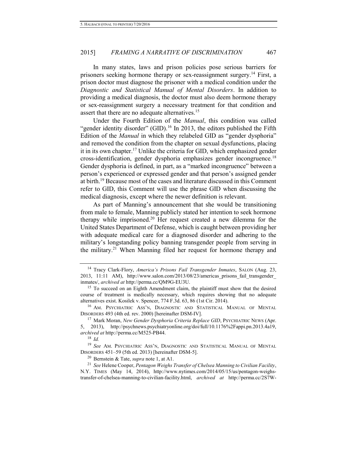In many states, laws and prison policies pose serious barriers for prisoners seeking hormone therapy or sex-reassignment surgery.<sup>14</sup> First, a prison doctor must diagnose the prisoner with a medical condition under the *Diagnostic and Statistical Manual of Mental Disorders*. In addition to providing a medical diagnosis, the doctor must also deem hormone therapy or sex-reassignment surgery a necessary treatment for that condition and assert that there are no adequate alternatives.<sup>15</sup>

<span id="page-5-3"></span><span id="page-5-1"></span>Under the Fourth Edition of the *Manual*, this condition was called "gender identity disorder"  $(GID)$ .<sup>16</sup> In 2013, the editors published the Fifth Edition of the *Manual* in which they relabeled GID as "gender dysphoria" and removed the condition from the chapter on sexual dysfunctions, placing it in its own chapter.<sup>17</sup> Unlike the criteria for GID, which emphasized gender cross-identification, gender dysphoria emphasizes gender incongruence.<sup>18</sup> Gender dysphoria is defined, in part, as a "marked incongruence" between a person's experienced or expressed gender and that person's assigned gender at birth.<sup>19</sup> Because most of the cases and literature discussed in this Comment refer to GID, this Comment will use the phrase GID when discussing the medical diagnosis, except where the newer definition is relevant.

<span id="page-5-2"></span>As part of Manning's announcement that she would be transitioning from male to female, Manning publicly stated her intention to seek hormone therapy while imprisoned.<sup>20</sup> Her request created a new dilemma for the United States Department of Defense, which is caught between providing her with adequate medical care for a diagnosed disorder and adhering to the military's longstanding policy banning transgender people from serving in the military.<sup>21</sup> When Manning filed her request for hormone therapy and

<span id="page-5-0"></span><sup>14</sup> Tracy Clark-Flory, *America's Prisons Fail Transgender Inmates*, SALON (Aug. 23, 2013, 11:11 AM), http://www.salon.com/2013/08/23/americas\_prisons\_fail\_transgender\_ inmates/, *archived at* http://perma.cc/QM9G-EU3U.

<sup>&</sup>lt;sup>15</sup> To succeed on an Eighth Amendment claim, the plaintiff must show that the desired course of treatment is medically necessary, which requires showing that no adequate alternatives exist. Kosilek v. Spencer, 774 F.3d. 63, 86 (1st Cir. 2014).

<sup>16</sup> AM. PSYCHIATRIC ASS'N, DIAGNOSTIC AND STATISTICAL MANUAL OF MENTAL DISORDERS 493 (4th ed. rev. 2000) [hereinafter DSM-IV].

<sup>&</sup>lt;sup>17</sup> Mark Moran, *New Gender Dysphoria Criteria Replace GID*, PSYCHIATRIC NEWS (Apr. 5, 2013), http://psychnews.psychiatryonline.org/doi/full/10.1176%2Fappi.pn.2013.4a19, *archived at* http://perma.cc/M525-PB44.

<sup>18</sup> *Id.*

<sup>19</sup> *See* AM. PSYCHIATRIC ASS'N, DIAGNOSTIC AND STATISTICAL MANUAL OF MENTAL DISORDERS 451–59 (5th ed. 2013) [hereinafter DSM-5].

<sup>20</sup> Bernstein & Tate, *supra* not[e 1,](#page-2-0) at A1.

<sup>21</sup> *See* Helene Cooper, *Pentagon Weighs Transfer of Chelsea Manning to Civilian Facility*, N.Y. TIMES (May 14, 2014), http://www.nytimes.com/2014/05/15/us/pentagon-weighstransfer-of-chelsea-manning-to-civilian-facility.html, *archived at* http://perma.cc/2S7W-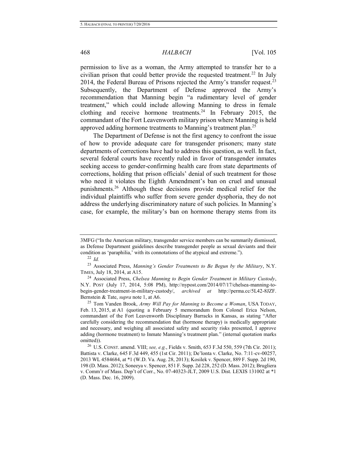### 468 *HALBACH* [Vol. 105

permission to live as a woman, the Army attempted to transfer her to a civilian prison that could better provide the requested treatment.<sup>22</sup> In July 2014, the Federal Bureau of Prisons rejected the Army's transfer request.<sup>23</sup> Subsequently, the Department of Defense approved the Army's recommendation that Manning begin "a rudimentary level of gender treatment," which could include allowing Manning to dress in female clothing and receive hormone treatments.<sup>24</sup> In February 2015, the commandant of the Fort Leavenworth military prison where Manning is held approved adding hormone treatments to Manning's treatment plan.<sup>25</sup>

The Department of Defense is not the first agency to confront the issue of how to provide adequate care for transgender prisoners; many state departments of corrections have had to address this question, as well. In fact, several federal courts have recently ruled in favor of transgender inmates seeking access to gender-confirming health care from state departments of corrections, holding that prison officials' denial of such treatment for those who need it violates the Eighth Amendment's ban on cruel and unusual punishments.<sup>26</sup> Although these decisions provide medical relief for the individual plaintiffs who suffer from severe gender dysphoria, they do not address the underlying discriminatory nature of such policies. In Manning's case, for example, the military's ban on hormone therapy stems from its

<sup>3</sup>MFG ("In the American military, transgender service members can be summarily dismissed, as Defense Department guidelines describe transgender people as sexual deviants and their condition as 'paraphilia,' with its connotations of the atypical and extreme.").

<sup>22</sup> *Id.*

<sup>23</sup> Associated Press, *Manning's Gender Treatments to Be Begun by the Military*, N.Y. TIMES, July 18, 2014, at A15.

<sup>24</sup> Associated Press, *Chelsea Manning to Begin Gender Treatment in Military Custody*, N.Y. POST (July 17, 2014, 5:08 PM), http://nypost.com/2014/07/17/chelsea-manning-tobegin-gender-treatment-in-military-custody/, *archived at* http://perma.cc/5L42-8JZF. Bernstein & Tate, *supra* note [1,](#page-2-0) at A6.

<sup>25</sup> Tom Vanden Brook, *Army Will Pay for Manning to Become a Woman*, USA TODAY, Feb. 13, 2015, at A1 (quoting a February 5 memorandum from Colonel Erica Nelson, commandant of the Fort Leavenworth Disciplinary Barracks in Kansas, as stating "After carefully considering the recommendation that (hormone therapy) is medically appropriate and necessary, and weighing all associated safety and security risks presented, I approve adding (hormone treatment) to Inmate Manning's treatment plan." (internal quotation marks omitted)).

<sup>26</sup> U.S. CONST. amend. VIII; *see, e.g.*, Fields v. Smith, 653 F.3d 550, 559 (7th Cir. 2011); Battista v. Clarke, 645 F.3d 449, 455 (1st Cir. 2011); De'lonta v. Clarke, No. 7:11-cv-00257, 2013 WL 4584684, at \*1 (W.D. Va. Aug. 28, 2013); Kosilek v. Spencer, 889 F. Supp. 2d 190, 198 (D. Mass. 2012); Soneeya v. Spencer, 851 F. Supp. 2d 228, 252 (D. Mass. 2012); Brugliera v. Comm'r of Mass. Dep't of Corr., No. 07-40323-JLT, 2009 U.S. Dist. LEXIS 131002 at \*1 (D. Mass. Dec. 16, 2009).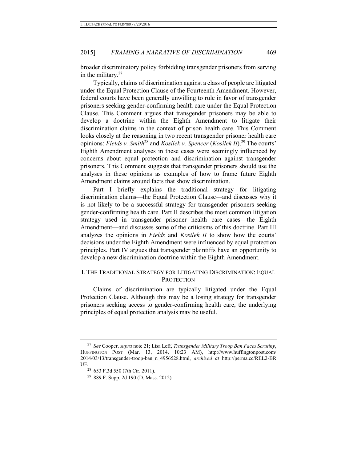broader discriminatory policy forbidding transgender prisoners from serving in the military.<sup>27</sup>

Typically, claims of discrimination against a class of people are litigated under the Equal Protection Clause of the Fourteenth Amendment. However, federal courts have been generally unwilling to rule in favor of transgender prisoners seeking gender-confirming health care under the Equal Protection Clause. This Comment argues that transgender prisoners may be able to develop a doctrine within the Eighth Amendment to litigate their discrimination claims in the context of prison health care. This Comment looks closely at the reasoning in two recent transgender prisoner health care opinions: *Fields v. Smith*<sup>28</sup> and *Kosilek v. Spencer* (*Kosilek II*).<sup>29</sup> The courts' Eighth Amendment analyses in these cases were seemingly influenced by concerns about equal protection and discrimination against transgender prisoners. This Comment suggests that transgender prisoners should use the analyses in these opinions as examples of how to frame future Eighth Amendment claims around facts that show discrimination.

Part I briefly explains the traditional strategy for litigating discrimination claims—the Equal Protection Clause—and discusses why it is not likely to be a successful strategy for transgender prisoners seeking gender-confirming health care. Part II describes the most common litigation strategy used in transgender prisoner health care cases—the Eighth Amendment—and discusses some of the criticisms of this doctrine. Part III analyzes the opinions in *Fields* and *Kosilek II* to show how the courts' decisions under the Eighth Amendment were influenced by equal protection principles. Part IV argues that transgender plaintiffs have an opportunity to develop a new discrimination doctrine within the Eighth Amendment.

# I. THE TRADITIONAL STRATEGY FOR LITIGATING DISCRIMINATION: EQUAL **PROTECTION**

Claims of discrimination are typically litigated under the Equal Protection Clause. Although this may be a losing strategy for transgender prisoners seeking access to gender-confirming health care, the underlying principles of equal protection analysis may be useful.

<sup>27</sup> *See* Cooper, *supra* not[e 21;](#page-5-0) Lisa Leff, *Transgender Military Troop Ban Faces Scrutiny*, HUFFINGTON POST (Mar. 13, 2014, 10:23 AM), http://www.huffingtonpost.com/ 2014/03/13/transgender-troop-ban\_n\_4956528.html, *archived at* http://perma.cc/REL2-BR UF.

<sup>28</sup> 653 F.3d 550 (7th Cir. 2011).

<sup>29</sup> 889 F. Supp. 2d 190 (D. Mass. 2012).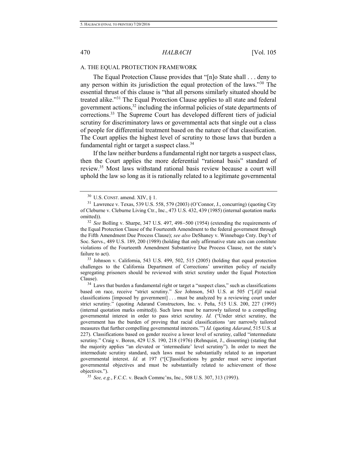# A. THE EQUAL PROTECTION FRAMEWORK

The Equal Protection Clause provides that "[n]o State shall . . . deny to any person within its jurisdiction the equal protection of the laws."<sup>30</sup> The essential thrust of this clause is "that all persons similarly situated should be treated alike."<sup>31</sup> The Equal Protection Clause applies to all state and federal government actions,<sup>32</sup> including the informal policies of state departments of corrections.<sup>33</sup> The Supreme Court has developed different tiers of judicial scrutiny for discriminatory laws or governmental acts that single out a class of people for differential treatment based on the nature of that classification. The Court applies the highest level of scrutiny to those laws that burden a fundamental right or target a suspect class.<sup>34</sup>

If the law neither burdens a fundamental right nor targets a suspect class, then the Court applies the more deferential "rational basis" standard of review.<sup>35</sup> Most laws withstand rational basis review because a court will uphold the law so long as it is rationally related to a legitimate governmental

 $32$  *See* Bolling v. Sharpe, 347 U.S. 497, 498–500 (1954) (extending the requirements of the Equal Protection Clause of the Fourteenth Amendment to the federal government through the Fifth Amendment Due Process Clause); *see also* DeShaney v. Winnebago Cnty. Dep't of Soc. Servs., 489 U.S. 189, 200 (1989) (holding that only affirmative state acts can constitute violations of the Fourteenth Amendment Substantive Due Process Clause, not the state's failure to act).

<sup>33</sup> Johnson v. California, 543 U.S. 499, 502, 515 (2005) (holding that equal protection challenges to the California Department of Corrections' unwritten policy of racially segregating prisoners should be reviewed with strict scrutiny under the Equal Protection Clause).

 $34$  Laws that burden a fundamental right or target a "suspect class," such as classifications based on race, receive "strict scrutiny." *See* Johnson, 543 U.S. at 505 ("[*A*]*ll* racial classifications [imposed by government] . . . must be analyzed by a reviewing court under strict scrutiny." (quoting Adarand Constructors, Inc. v. Peña, 515 U.S. 200, 227 (1995) (internal quotation marks omitted)). Such laws must be narrowly tailored to a compelling governmental interest in order to pass strict scrutiny. *Id.* ("Under strict scrutiny, the government has the burden of proving that racial classifications 'are narrowly tailored measures that further compelling governmental interests.'") *Id.* (quoting *Adarand*, 515 U.S. at 227). Classifications based on gender receive a lower level of scrutiny, called "intermediate scrutiny." Craig v. Boren, 429 U.S. 190, 218 (1976) (Rehnquist, J., dissenting) (stating that the majority applies "an elevated or 'intermediate' level scrutiny"). In order to meet the intermediate scrutiny standard, such laws must be substantially related to an important governmental interest. *Id.* at 197 ("[C]lassifications by gender must serve important governmental objectives and must be substantially related to achievement of those objectives.").

 $30$  U.S. CONST. amend. XIV,  $\S$  1.

 $31$  Lawrence v. Texas, 539 U.S. 558, 579 (2003) (O'Connor, J., concurring) (quoting City of Cleburne v. Cleburne Living Ctr., Inc., 473 U.S. 432, 439 (1985) (internal quotation marks omitted)).

<sup>35</sup> *See, e.g.*, F.C.C. v. Beach Commc'ns, Inc., 508 U.S. 307, 313 (1993).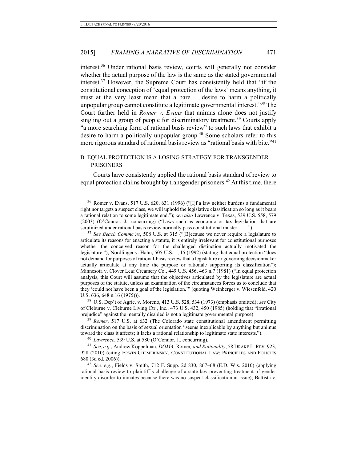<span id="page-9-2"></span><span id="page-9-0"></span>interest.<sup>36</sup> Under rational basis review, courts will generally not consider whether the actual purpose of the law is the same as the stated governmental interest.<sup>37</sup> However, the Supreme Court has consistently held that "if the constitutional conception of 'equal protection of the laws' means anything, it must at the very least mean that a bare . . . desire to harm a politically unpopular group cannot constitute a legitimate governmental interest."<sup>38</sup> The Court further held in *Romer v. Evans* that animus alone does not justify singling out a group of people for discriminatory treatment.<sup>39</sup> Courts apply "a more searching form of rational basis review" to such laws that exhibit a desire to harm a politically unpopular group.<sup>40</sup> Some scholars refer to this more rigorous standard of rational basis review as "rational basis with bite."<sup>41</sup>

# <span id="page-9-1"></span>B. EQUAL PROTECTION IS A LOSING STRATEGY FOR TRANSGENDER PRISONERS

Courts have consistently applied the rational basis standard of review to equal protection claims brought by transgender prisoners.<sup>42</sup> At this time, there

<sup>38</sup> U.S. Dep't of Agric. v. Moreno, 413 U.S. 528, 534 (1973) (emphasis omitted); *see* City of Cleburne v. Cleburne Living Ctr., Inc., 473 U.S. 432, 450 (1985) (holding that "irrational prejudice" against the mentally disabled is not a legitimate governmental purpose).

<sup>39</sup> *Romer*, 517 U.S. at 632 (The Colorado state constitutional amendment permitting discrimination on the basis of sexual orientation "seems inexplicable by anything but animus toward the class it affects; it lacks a rational relationship to legitimate state interests.").

<sup>40</sup> *Lawrence*, 539 U.S. at 580 (O'Connor, J., concurring).

<sup>41</sup> *See, e.g.*, Andrew Koppelman, *DOMA,* Romer*, and Rationality*, 58 DRAKE L. REV. 923, 928 (2010) (citing ERWIN CHEMERINSKY, CONSTITUTIONAL LAW: PRINCIPLES AND POLICIES 680 (3d ed. 2006)).

<sup>42</sup> *See, e.g.*, Fields v. Smith, 712 F. Supp. 2d 830, 867–68 (E.D. Wis. 2010) (applying rational basis review to plaintiff's challenge of a state law preventing treatment of gender identity disorder to inmates because there was no suspect classification at issue); Battista v.

<sup>36</sup> Romer v. Evans, 517 U.S. 620, 631 (1996) ("[I]f a law neither burdens a fundamental right nor targets a suspect class, we will uphold the legislative classification so long as it bears a rational relation to some legitimate end."); *see also* Lawrence v. Texas, 539 U.S. 558, 579 (2003) (O'Connor, J., concurring) ("Laws such as economic or tax legislation that are scrutinized under rational basis review normally pass constitutional muster . . . .").

<sup>37</sup> *See Beach Commc'ns*, 508 U.S. at 315 ("[B]ecause we never require a legislature to articulate its reasons for enacting a statute, it is entirely irrelevant for constitutional purposes whether the conceived reason for the challenged distinction actually motivated the legislature."); Nordlinger v. Hahn, 505 U.S. 1, 15 (1992) (stating that equal protection "does not demand for purposes of rational-basis review that a legislature or governing decisionmaker actually articulate at any time the purpose or rationale supporting its classification"); Minnesota v. Clover Leaf Creamery Co., 449 U.S. 456, 463 n.7 (1981) ("In equal protection analysis, this Court will assume that the objectives articulated by the legislature are actual purposes of the statute, unless an examination of the circumstances forces us to conclude that they 'could not have been a goal of the legislation.'" (quoting Weinberger v. Wiesenfeld, 420 U.S. 636, 648 n.16 (1975))).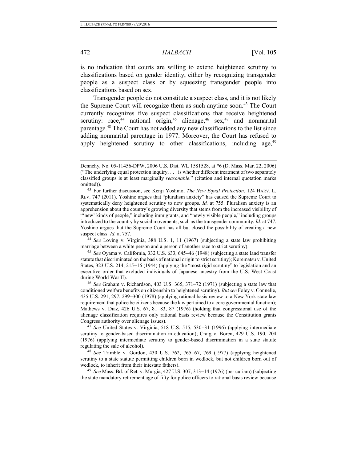# 472 *HALBACH* [Vol. 105

is no indication that courts are willing to extend heightened scrutiny to classifications based on gender identity, either by recognizing transgender people as a suspect class or by squeezing transgender people into classifications based on sex.

Transgender people do not constitute a suspect class, and it is not likely the Supreme Court will recognize them as such anytime soon.<sup>43</sup> The Court currently recognizes five suspect classifications that receive heightened scrutiny: race,<sup>44</sup> national origin,<sup>45</sup> alienage,<sup>46</sup> sex,<sup>47</sup> and nonmarital parentage.<sup>48</sup> The Court has not added any new classifications to the list since adding nonmarital parentage in 1977. Moreover, the Court has refused to apply heightened scrutiny to other classifications, including age, $49$ 

<sup>44</sup> *See* Loving v. Virginia, 388 U.S. 1, 11 (1967) (subjecting a state law prohibiting marriage between a white person and a person of another race to strict scrutiny).

<sup>45</sup> *See* Oyama v. California, 332 U.S. 633, 645–46 (1948) (subjecting a state land transfer statute that discriminated on the basis of national origin to strict scrutiny); Korematsu v. United States, 323 U.S. 214, 215-16 (1944) (applying the "most rigid scrutiny" to legislation and an executive order that excluded individuals of Japanese ancestry from the U.S. West Coast during World War II).

<sup>46</sup> *See* Graham v. Richardson, 403 U.S. 365, 371–72 (1971) (subjecting a state law that conditioned welfare benefits on citizenship to heightened scrutiny). *But see* Foley v. Connelie,  $435$  U.S.  $291$ ,  $297$ ,  $299-300$  (1978) (applying rational basis review to a New York state law requirement that police be citizens because the law pertained to a core governmental function); Mathews v. Diaz,  $426 \text{ U.S. } 67, 81-83, 87$  (1976) (holding that congressional use of the alienage classification requires only rational basis review because the Constitution grants Congress authority over alienage issues).

 $47$  *See* United States v. Virginia, 518 U.S. 515, 530–31 (1996) (applying intermediate scrutiny to gender-based discrimination in education); Craig v. Boren, 429 U.S. 190, 204 (1976) (applying intermediate scrutiny to gender-based discrimination in a state statute regulating the sale of alcohol).

<sup>48</sup> *See* Trimble v. Gordon, 430 U.S. 762, 765-67, 769 (1977) (applying heightened scrutiny to a state statute permitting children born in wedlock, but not children born out of wedlock, to inherit from their intestate fathers).

 $^{49}$  *See* Mass. Bd. of Ret. v. Murgia,  $427$  U.S.  $307$ ,  $313-14$  (1976) (per curiam) (subjecting the state mandatory retirement age of fifty for police officers to rational basis review because

Dennehy, No. 05-11456-DPW, 2006 U.S. Dist. WL 1581528, at \*6 (D. Mass. Mar. 22, 2006) ("The underlying equal protection inquiry, . . . is whether different treatment of two separately classified groups is at least marginally *reasonable*." (citation and internal quotation marks omitted)).

<sup>43</sup> For further discussion, see Kenji Yoshino, *The New Equal Protection*, 124 HARV. L. REV. 747 (2011). Yoshino argues that "pluralism anxiety" has caused the Supreme Court to systematically deny heightened scrutiny to new groups. *Id.* at 755. Pluralism anxiety is an apprehension about the country's growing diversity that stems from the increased visibility of "'new' kinds of people," including immigrants, and "newly visible people," including groups introduced to the country by social movements, such as the transgender community. *Id.* at 747. Yoshino argues that the Supreme Court has all but closed the possibility of creating a new suspect class. *Id.* at 757.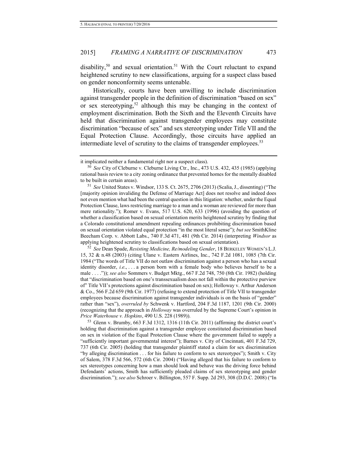disability,<sup>50</sup> and sexual orientation.<sup>51</sup> With the Court reluctant to expand heightened scrutiny to new classifications, arguing for a suspect class based on gender nonconformity seems untenable.

<span id="page-11-0"></span>Historically, courts have been unwilling to include discrimination against transgender people in the definition of discrimination "based on sex" or sex stereotyping,<sup>52</sup> although this may be changing in the context of employment discrimination. Both the Sixth and the Eleventh Circuits have held that discrimination against transgender employees may constitute discrimination "because of sex" and sex stereotyping under Title VII and the Equal Protection Clause. Accordingly, those circuits have applied an intermediate level of scrutiny to the claims of transgender employees.<sup>53</sup>

<sup>51</sup> *See* United States v. Windsor, 133 S. Ct. 2675, 2706 (2013) (Scalia, J., dissenting) ("The [majority opinion invaliding the Defense of Marriage Act] does not resolve and indeed does not even mention what had been the central question in this litigation: whether, under the Equal Protection Clause, laws restricting marriage to a man and a woman are reviewed for more than mere rationality."); Romer v. Evans, 517 U.S. 620, 633 (1996) (avoiding the question of whether a classification based on sexual orientation merits heightened scrutiny by finding that a Colorado constitutional amendment repealing ordinances prohibiting discrimination based on sexual orientation violated equal protection "in the most literal sense"); *but see* SmithKline Beecham Corp. v. Abbott Labs., 740 F.3d 471, 481 (9th Cir. 2014) (interpreting *Windsor* as applying heightened scrutiny to classifications based on sexual orientation).

<sup>52</sup> *See* Dean Spade, *Resisting Medicine, Re/modeling Gender*, 18 BERKELEY WOMEN'S L.J. 15, 32 & n.48 (2003) (citing Ulane v. Eastern Airlines, Inc., 742 F.2d 1081, 1085 (7th Cir. 1984 ("The words of Title VII do not outlaw discrimination against a person who has a sexual identity disorder, *i.e*., . . . a person born with a female body who believes herself to be a male . . . .")); *see also* Sommers v. Budget Mktg., 667 F.2d 748, 750 (8th Cir. 1982) (holding that "discrimination based on one's transsexualism does not fall within the protective purview of" Title VII's protections against discrimination based on sex); Holloway v. Arthur Anderson & Co., 566 F.2d 659 (9th Cir. 1977) (refusing to extend protection of Title VII to transgender employees because discrimination against transgender individuals is on the basis of "gender" rather than "sex"), *overruled by* Schwenk v. Hartford, 204 F.3d 1187, 1201 (9th Cir. 2000) (recognizing that the approach in *Holloway* was overruled by the Supreme Court's opinion in *Price Waterhouse v. Hopkins*, 490 U.S. 228 (1989)).

 $53$  Glenn v. Brumby, 663 F.3d 1312, 1316 (11th Cir. 2011) (affirming the district court's holding that discrimination against a transgender employee constituted discrimination based on sex in violation of the Equal Protection Clause where the government failed to supply a "sufficiently important governmental interest"); Barnes v. City of Cincinnati, 401 F.3d 729, 737 (6th Cir. 2005) (holding that transgender plaintiff stated a claim for sex discrimination "by alleging discrimination . . . for his failure to conform to sex stereotypes"); Smith v. City of Salem, 378 F.3d 566, 572 (6th Cir. 2004) ("Having alleged that his failure to conform to sex stereotypes concerning how a man should look and behave was the driving force behind Defendants' actions, Smith has sufficiently pleaded claims of sex stereotyping and gender discrimination."); *see also* Schroer v. Billington, 557 F. Supp. 2d 293, 308 (D.D.C. 2008) ("In

it implicated neither a fundamental right nor a suspect class).

<sup>50</sup> *See* City of Cleburne v. Cleburne Living Ctr., Inc., 473 U.S. 432, 435 (1985) (applying rational basis review to a city zoning ordinance that prevented homes for the mentally disabled to be built in certain areas).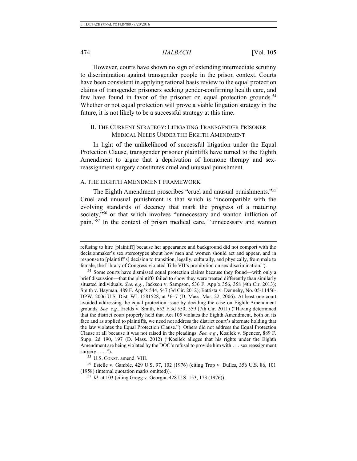#### 474 *HALBACH* [Vol. 105

However, courts have shown no sign of extending intermediate scrutiny to discrimination against transgender people in the prison context. Courts have been consistent in applying rational basis review to the equal protection claims of transgender prisoners seeking gender-confirming health care, and few have found in favor of the prisoner on equal protection grounds.<sup>54</sup> Whether or not equal protection will prove a viable litigation strategy in the future, it is not likely to be a successful strategy at this time.

# II. THE CURRENT STRATEGY: LITIGATING TRANSGENDER PRISONER MEDICAL NEEDS UNDER THE EIGHTH AMENDMENT

In light of the unlikelihood of successful litigation under the Equal Protection Clause, transgender prisoner plaintiffs have turned to the Eighth Amendment to argue that a deprivation of hormone therapy and sexreassignment surgery constitutes cruel and unusual punishment.

# A. THE EIGHTH AMENDMENT FRAMEWORK

The Eighth Amendment proscribes "cruel and unusual punishments."<sup>55</sup> Cruel and unusual punishment is that which is "incompatible with the evolving standards of decency that mark the progress of a maturing society,"<sup>56</sup> or that which involves "unnecessary and wanton infliction of pain."<sup>57</sup> In the context of prison medical care, "unnecessary and wanton

<sup>55</sup> U.S. CONST. amend. VIII.

refusing to hire [plaintiff] because her appearance and background did not comport with the decisionmaker's sex stereotypes about how men and women should act and appear, and in response to [plaintiff's] decision to transition, legally, culturally, and physically, from male to female, the Library of Congress violated Title VII's prohibition on sex discrimination.").

<sup>54</sup> Some courts have dismissed equal protection claims because they found—with only a brief discussion—that the plaintiffs failed to show they were treated differently than similarly situated individuals. *See, e.g.*, Jackson v. Sampson, 536 F. App'x 356, 358 (4th Cir. 2013); Smith v. Hayman, 489 F. App'x 544, 547 (3d Cir. 2012); Battista v. Dennehy, No. 05-11456- DPW, 2006 U.S. Dist. WL 1581528, at \*6–7 (D. Mass. Mar. 22, 2006). At least one court avoided addressing the equal protection issue by deciding the case on Eighth Amendment grounds. *See, e.g.*, Fields v. Smith, 653 F.3d 550, 559 (7th Cir. 2011) ("Having determined that the district court properly held that Act 105 violates the Eighth Amendment, both on its face and as applied to plaintiffs, we need not address the district court's alternate holding that the law violates the Equal Protection Clause."). Others did not address the Equal Protection Clause at all because it was not raised in the pleadings. *See, e.g.*, Kosilek v. Spencer, 889 F. Supp. 2d 190, 197 (D. Mass. 2012) ("Kosilek alleges that his rights under the Eighth Amendment are being violated by the DOC's refusal to provide him with . . . sex reassignment surgery  $\dots$ .").

<sup>56</sup> Estelle v. Gamble, 429 U.S. 97, 102 (1976) (citing Trop v. Dulles, 356 U.S. 86, 101 (1958) (internal quotation marks omitted)).

<sup>57</sup> *Id.* at 103 (citing Gregg v. Georgia, 428 U.S. 153, 173 (1976)).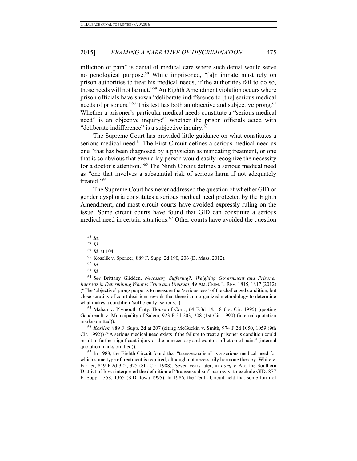infliction of pain" is denial of medical care where such denial would serve no penological purpose.<sup>58</sup> While imprisoned, "[a]n inmate must rely on prison authorities to treat his medical needs; if the authorities fail to do so, those needs will not be met."<sup>59</sup> An Eighth Amendment violation occurs where prison officials have shown "deliberate indifference to [the] serious medical needs of prisoners."<sup>60</sup> This test has both an objective and subjective prong.<sup>61</sup> Whether a prisoner's particular medical needs constitute a "serious medical need" is an objective inquiry;<sup>62</sup> whether the prison officials acted with "deliberate indifference" is a subjective inquiry.<sup>63</sup>

The Supreme Court has provided little guidance on what constitutes a serious medical need.<sup>64</sup> The First Circuit defines a serious medical need as one "that has been diagnosed by a physician as mandating treatment, or one that is so obvious that even a lay person would easily recognize the necessity for a doctor's attention."<sup>65</sup> The Ninth Circuit defines a serious medical need as "one that involves a substantial risk of serious harm if not adequately treated."<sup>66</sup>

The Supreme Court has never addressed the question of whether GID or gender dysphoria constitutes a serious medical need protected by the Eighth Amendment, and most circuit courts have avoided expressly ruling on the issue. Some circuit courts have found that GID can constitute a serious medical need in certain situations.<sup>67</sup> Other courts have avoided the question

<sup>64</sup> *See* Brittany Glidden, *Necessary Suffering?: Weighing Government and Prisoner Interests in Determining What is Cruel and Unusual*, 49 AM. CRIM. L. REV. 1815, 1817 (2012) ("The 'objective' prong purports to measure the 'seriousness' of the challenged condition, but close scrutiny of court decisions reveals that there is no organized methodology to determine what makes a condition 'sufficiently' serious.").

<sup>65</sup> Mahan v. Plymouth Cnty. House of Corr., 64 F.3d 14, 18 (1st Cir. 1995) (quoting Gaudreault v. Municipality of Salem, 923 F.2d 203, 208 (1st Cir. 1990) (internal quotation marks omitted)).

<sup>66</sup> *Kosilek*, 889 F. Supp. 2d at 207 (citing McGuckin v. Smith, 974 F.2d 1050, 1059 (9th Cir. 1992)) ("A serious medical need exists if the failure to treat a prisoner's condition could result in further significant injury or the unnecessary and wanton infliction of pain." (internal quotation marks omitted)).

 $67$  In 1988, the Eighth Circuit found that "transsexualism" is a serious medical need for which some type of treatment is required, although not necessarily hormone therapy. White v. Farrier, 849 F.2d 322, 325 (8th Cir. 1988). Seven years later, in *Long v. Nix*, the Southern District of Iowa interpreted the definition of "transsexualism" narrowly, to exclude GID. 877 F. Supp. 1358, 1365 (S.D. Iowa 1995). In 1986, the Tenth Circuit held that some form of

<span id="page-13-0"></span><sup>58</sup> *Id.*

<sup>59</sup> *Id*.

<sup>60</sup> *Id.* at 104.

<sup>61</sup> Koselik v. Spencer, 889 F. Supp. 2d 190, 206 (D. Mass. 2012).

<sup>62</sup> *Id.*

<sup>63</sup> *Id.*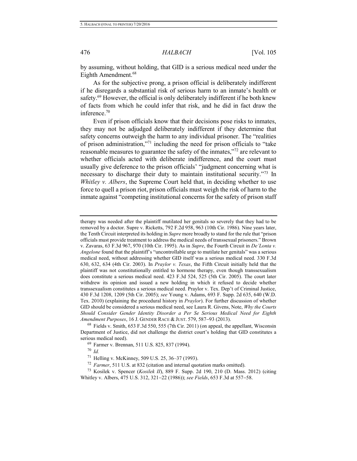by assuming, without holding, that GID is a serious medical need under the Eighth Amendment.<sup>68</sup>

As for the subjective prong, a prison official is deliberately indifferent if he disregards a substantial risk of serious harm to an inmate's health or safety.<sup>69</sup> However, the official is only deliberately indifferent if he both knew of facts from which he could infer that risk, and he did in fact draw the inference.<sup>70</sup>

Even if prison officials know that their decisions pose risks to inmates, they may not be adjudged deliberately indifferent if they determine that safety concerns outweigh the harm to any individual prisoner. The "realities of prison administration,"<sup>71</sup> including the need for prison officials to "take reasonable measures to guarantee the safety of the inmates,"<sup>72</sup> are relevant to whether officials acted with deliberate indifference, and the court must usually give deference to the prison officials' "judgment concerning what is necessary to discharge their duty to maintain institutional security."<sup>73</sup> In *Whitley v. Albers*, the Supreme Court held that, in deciding whether to use force to quell a prison riot, prison officials must weigh the risk of harm to the inmate against "competing institutional concerns for the safety of prison staff

<sup>68</sup> Fields v. Smith, 653 F.3d 550, 555 (7th Cir. 2011) (on appeal, the appellant, Wisconsin Department of Justice, did not challenge the district court's holding that GID constitutes a serious medical need).

<sup>70</sup> *Id.* 

therapy was needed after the plaintiff mutilated her genitals so severely that they had to be removed by a doctor. Supre v. Ricketts, 792 F.2d 958, 963 (10th Cir. 1986). Nine years later, the Tenth Circuit interpreted its holding in *Supre* more broadly to stand for the rule that "prison officials must provide treatment to address the medical needs of transsexual prisoners." Brown v. Zavaras, 63 F.3d 967, 970 (10th Cir. 1995). As in *Supre*, the Fourth Circuit in *De'Lonta v. Angelone* found that the plaintiff's "uncontrollable urge to mutilate her genitals" was a serious medical need, without addressing whether GID itself was a serious medical need. 330 F.3d 630, 632, 634 (4th Cir. 2003). In *Praylor v. Texas*, the Fifth Circuit initially held that the plaintiff was not constitutionally entitled to hormone therapy, even though transsexualism does constitute a serious medical need. 423 F.3d 524, 525 (5th Cir. 2005). The court later withdrew its opinion and issued a new holding in which it refused to decide whether transsexualism constitutes a serious medical need. Praylor v. Tex. Dep't of Criminal Justice, 430 F.3d 1208, 1209 (5th Cir. 2005); *see* Young v. Adams, 693 F. Supp. 2d 635, 640 (W.D. Tex. 2010) (explaining the procedural history in *Praylor*). For further discussion of whether GID should be considered a serious medical need, see Laura R. Givens, Note, *Why the Courts Should Consider Gender Identity Disorder a Per Se Serious Medical Need for Eighth Amendment Purposes*, 16 J. GENDER RACE & JUST. 579, 587-93 (2013).

<sup>69</sup> Farmer v. Brennan, 511 U.S. 825, 837 (1994).

<sup>71</sup> Helling v. McKinney, 509 U.S. 25, 36–37 (1993).

<sup>72</sup> *Farmer*, 511 U.S. at 832 (citation and internal quotation marks omitted).

<sup>73</sup> Kosilek v. Spencer (*Kosilek II*), 889 F. Supp. 2d 190, 210 (D. Mass. 2012) (citing Whitley v. Albers, 475 U.S. 312, 321-22 (1986)); *see Fields*, 653 F.3d at 557-58.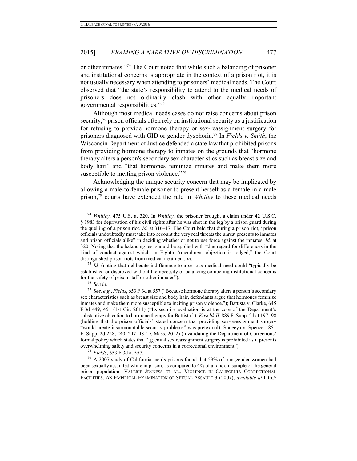or other inmates."<sup>74</sup> The Court noted that while such a balancing of prisoner and institutional concerns is appropriate in the context of a prison riot, it is not usually necessary when attending to prisoners' medical needs. The Court observed that "the state's responsibility to attend to the medical needs of prisoners does not ordinarily clash with other equally important governmental responsibilities."<sup>75</sup>

Although most medical needs cases do not raise concerns about prison security,<sup>76</sup> prison officials often rely on institutional security as a justification for refusing to provide hormone therapy or sex-reassignment surgery for prisoners diagnosed with GID or gender dysphoria.<sup>77</sup> In *Fields v. Smith*, the Wisconsin Department of Justice defended a state law that prohibited prisons from providing hormone therapy to inmates on the grounds that "hormone therapy alters a person's secondary sex characteristics such as breast size and body hair" and "that hormones feminize inmates and make them more susceptible to inciting prison violence."<sup>78</sup>

<span id="page-15-0"></span>Acknowledging the unique security concern that may be implicated by allowing a male-to-female prisoner to present herself as a female in a male prison,<sup>79</sup> courts have extended the rule in *Whitley* to these medical needs

<sup>75</sup> *Id.* (noting that deliberate indifference to a serious medical need could "typically be established or disproved without the necessity of balancing competing institutional concerns for the safety of prison staff or other inmates").

<sup>76</sup> *See id.* 

<sup>78</sup> *Fields*, 653 F.3d at 557.

<sup>79</sup> A 2007 study of California men's prisons found that 59% of transgender women had been sexually assaulted while in prison, as compared to 4% of a random sample of the general prison population. VALERIE JENNESS ET AL., VIOLENCE IN CALIFORNIA CORRECTIONAL FACILITIES: AN EMPIRICAL EXAMINATION OF SEXUAL ASSAULT 3 (2007), *available at* http://

<sup>74</sup> *Whitley*, 475 U.S. at 320. In *Whitley*, the prisoner brought a claim under 42 U.S.C. § 1983 for deprivation of his civil rights after he was shot in the leg by a prison guard during the quelling of a prison riot. *Id.* at 316–17. The Court held that during a prison riot, "prison officials undoubtedly must take into account the very real threats the unrest presents to inmates and prison officials alike" in deciding whether or not to use force against the inmates. *Id.* at 320. Noting that the balancing test should be applied with "due regard for differences in the kind of conduct against which an Eighth Amendment objection is lodged," the Court distinguished prison riots from medical treatment. *Id.*

<sup>77</sup> *See, e.g.*, *Fields*, 653 F.3d at 557 ("Because hormone therapy alters a person's secondary sex characteristics such as breast size and body hair, defendants argue that hormones feminize inmates and make them more susceptible to inciting prison violence."); Battista v. Clarke, 645 F.3d 449, 451 (1st Cir. 2011) ("Its security evaluation is at the core of the Department's substantive objection to hormone therapy for Battista."); *Koselik II*, 889 F. Supp. 2d at 197–98 (holding that the prison officials' stated concern that providing sex-reassignment surgery "would create insurmountable security problems" was pretextual); Soneeya v. Spencer, 851 F. Supp. 2d 228, 240, 247–48 (D. Mass. 2012) (invalidating the Department of Corrections' formal policy which states that "[g]enital sex reassignment surgery is prohibited as it presents overwhelming safety and security concerns in a correctional environment").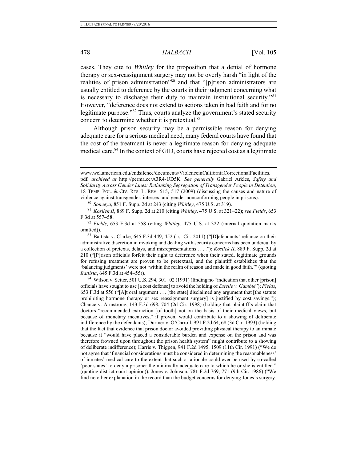#### 478 *HALBACH* [Vol. 105

cases. They cite to *Whitley* for the proposition that a denial of hormone therapy or sex-reassignment surgery may not be overly harsh "in light of the realities of prison administration"80 and that "[p]rison administrators are usually entitled to deference by the courts in their judgment concerning what is necessary to discharge their duty to maintain institutional security."<sup>81</sup> However, "deference does not extend to actions taken in bad faith and for no legitimate purpose."<sup>82</sup> Thus, courts analyze the government's stated security concern to determine whether it is pretextual.<sup>83</sup>

Although prison security may be a permissible reason for denying adequate care for a serious medical need, many federal courts have found that the cost of the treatment is never a legitimate reason for denying adequate medical care.<sup>84</sup> In the context of GID, courts have rejected cost as a legitimate

<sup>80</sup> *Soneeya*, 851 F. Supp. 2d at 243 (citing *Whitley*, 475 U.S. at 319).

81 *Kosilek II*, 889 F. Supp. 2d at 210 (citing *Whitley*, 475 U.S. at 321-22); *see Fields*, 653 F.3d at 557-58.

<sup>82</sup> *Fields*, 653 F.3d at 558 (citing *Whitley*, 475 U.S. at 322 (internal quotation marks omitted)).

 $83$  Battista v. Clarke, 645 F.3d 449, 452 (1st Cir. 2011) ("Defendants' reliance on their administrative discretion in invoking and dealing with security concerns has been undercut by a collection of pretexts, delays, and misrepresentations . . . ."); *Kosilek II*, 889 F. Supp. 2d at 210 ("[P]rison officials forfeit their right to deference when their stated, legitimate grounds for refusing treatment are proven to be pretextual, and the plaintiff establishes that the 'balancing judgments' were not 'within the realm of reason and made in good faith.'" (quoting *Battista*, 645 F.3d at 454-55)).

 $84$  Wilson v. Seiter, 501 U.S. 294, 301–02 (1991) (finding no "indication that other [prison] officials have sought to use [a cost defense] to avoid the holding of *Estelle v. Gamble*"); *Fields*, 653 F.3d at 556 ("[A]t oral argument . . . [the state] disclaimed any argument that [the statute prohibiting hormone therapy or sex reassignment surgery] is justified by cost savings."); Chance v. Armstrong, 143 F.3d 698, 704 (2d Cir. 1998) (holding that plaintiff's claim that doctors "recommended extraction [of tooth] not on the basis of their medical views, but because of monetary incentives," if proven, would contribute to a showing of deliberate indifference by the defendants); Durmer v. O'Carroll, 991 F.2d 64, 68 (3d Cir. 1993) (holding that the fact that evidence that prison doctor avoided providing physical therapy to an inmate because it "would have placed a considerable burden and expense on the prison and was therefore frowned upon throughout the prison health system" might contribute to a showing of deliberate indifference); Harris v. Thigpen, 941 F.2d 1495, 1509 (11th Cir. 1991) ("We do not agree that 'financial considerations must be considered in determining the reasonableness' of inmates' medical care to the extent that such a rationale could ever be used by so-called 'poor states' to deny a prisoner the minimally adequate care to which he or she is entitled." (quoting district court opinion)); Jones v. Johnson, 781 F.2d 769, 771 (9th Cir. 1986) ("We find no other explanation in the record than the budget concerns for denying Jones's surgery.

www.wcl.american.edu/endsilence/documents/ViolenceinCaliforniaCorrectionalFacilities.

pdf*, archived at* http://perma.cc/A3R4-UD5K. *See generally* Gabriel Arkles, *Safety and Solidarity Across Gender Lines: Rethinking Segregation of Transgender People in Detention*, 18 TEMP. POL. & CIV. RTS. L. REV. 515, 517 (2009) (discussing the causes and nature of violence against transgender, intersex, and gender nonconforming people in prisons).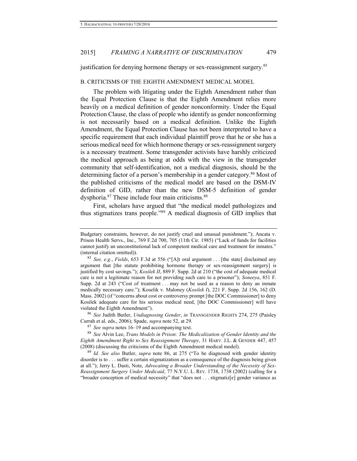justification for denying hormone therapy or sex-reassignment surgery.<sup>85</sup>

# B. CRITICISMS OF THE EIGHTH AMENDMENT MEDICAL MODEL

The problem with litigating under the Eighth Amendment rather than the Equal Protection Clause is that the Eighth Amendment relies more heavily on a medical definition of gender nonconformity. Under the Equal Protection Clause, the class of people who identify as gender nonconforming is not necessarily based on a medical definition. Unlike the Eighth Amendment, the Equal Protection Clause has not been interpreted to have a specific requirement that each individual plaintiff prove that he or she has a serious medical need for which hormone therapy or sex-reassignment surgery is a necessary treatment. Some transgender activists have harshly criticized the medical approach as being at odds with the view in the transgender community that self-identification, not a medical diagnosis, should be the determining factor of a person's membership in a gender category.<sup>86</sup> Most of the published criticisms of the medical model are based on the DSM-IV definition of GID, rather than the new DSM-5 definition of gender dysphoria.<sup>87</sup> These include four main criticisms.<sup>88</sup>

<span id="page-17-1"></span><span id="page-17-0"></span>First, scholars have argued that "the medical model pathologizes and thus stigmatizes trans people."<sup>89</sup> A medical diagnosis of GID implies that

<sup>86</sup> *See* Judith Butler, *Undiagnosing Gender*, *in* TRANSGENDER RIGHTS 274, 275 (Paisley Currah et al. eds., 2006); Spade, *supra* not[e 52,](#page-11-0) at 29.

<sup>87</sup> *See supra* note[s 16](#page-5-1)[–19](#page-5-2) and accompanying text.

<sup>88</sup> *See* Alvin Lee, *Trans Models in Prison: The Medicalization of Gender Identity and the Eighth Amendment Right to Sex Reassignment Therapy*, 31 HARV. J.L. & GENDER 447, 457 (2008) (discussing the criticisms of the Eighth Amendment medical model).

<sup>89</sup> *Id. See also* Butler, *supra* note [86,](#page-17-0) at 275 ("To be diagnosed with gender identity disorder is to . . . suffer a certain stigmatization as a consequence of the diagnosis being given at all."); Jerry L. Dasti, Note, *Advocating a Broader Understanding of the Necessity of Sex-Reassignment Surgery Under Medicaid*, 77 N.Y.U. L. REV. 1738, 1738 (2002) (calling for a "broader conception of medical necessity" that "does not . . . stigmatiz[e] gender variance as

Budgetary constraints, however, do not justify cruel and unusual punishment."); Ancata v. Prison Health Servs., Inc., 769 F.2d 700, 705 (11th Cir. 1985) ("Lack of funds for facilities cannot justify an unconstitutional lack of competent medical care and treatment for inmates." (internal citation omitted)).

<sup>85</sup> *See, e.g.*, *Fields*, 653 F.3d at 556 ("[A]t oral argument . . . [the state] disclaimed any argument that [the statute prohibiting hormone therapy or sex-reassignment surgery] is justified by cost savings."); *Kosilek II*, 889 F. Supp. 2d at 210 ("the cost of adequate medical care is not a legitimate reason for not providing such care to a prisoner"); *Soneeya*, 851 F. Supp. 2d at 243 ("Cost of treatment . . . may not be used as a reason to deny an inmate medically necessary care."); Koselik v. Maloney (*Kosilek I*), 221 F. Supp. 2d 156, 162 (D. Mass. 2002) (if "concerns about cost or controversy prompt [the DOC Commissioner] to deny Kosilek adequate care for his serious medical need, [the DOC Commissioner] will have violated the Eighth Amendment").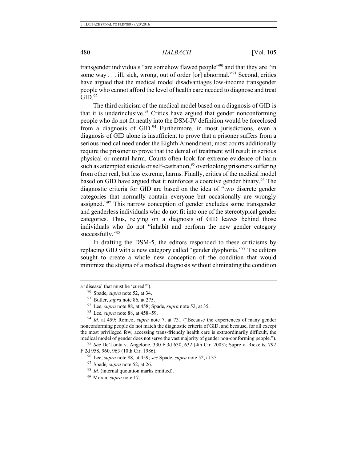transgender individuals "are somehow flawed people"<sup>90</sup> and that they are "in some way . . . ill, sick, wrong, out of order [or] abnormal."<sup>91</sup> Second, critics have argued that the medical model disadvantages low-income transgender people who cannot afford the level of health care needed to diagnose and treat  $GID<sup>92</sup>$ 

The third criticism of the medical model based on a diagnosis of GID is that it is underinclusive.<sup>93</sup> Critics have argued that gender nonconforming people who do not fit neatly into the DSM-IV definition would be foreclosed from a diagnosis of GID.<sup>94</sup> Furthermore, in most jurisdictions, even a diagnosis of GID alone is insufficient to prove that a prisoner suffers from a serious medical need under the Eighth Amendment; most courts additionally require the prisoner to prove that the denial of treatment will result in serious physical or mental harm. Courts often look for extreme evidence of harm such as attempted suicide or self-castration,  $95$  overlooking prisoners suffering from other real, but less extreme, harms. Finally, critics of the medical model based on GID have argued that it reinforces a coercive gender binary.<sup>96</sup> The diagnostic criteria for GID are based on the idea of "two discrete gender categories that normally contain everyone but occasionally are wrongly assigned."<sup>97</sup> This narrow conception of gender excludes some transgender and genderless individuals who do not fit into one of the stereotypical gender categories. Thus, relying on a diagnosis of GID leaves behind those individuals who do not "inhabit and perform the new gender category successfully."98

In drafting the DSM-5, the editors responded to these criticisms by replacing GID with a new category called "gender dysphoria."<sup>99</sup> The editors sought to create a whole new conception of the condition that would minimize the stigma of a medical diagnosis without eliminating the condition

a 'disease' that must be 'cured'").

<sup>90</sup> Spade, *supra* not[e 52,](#page-11-0) at 34.

<sup>91</sup> Butler, *supra* note [86,](#page-17-0) at 275.

<sup>92</sup> Lee, *supra* note [88,](#page-17-1) at 458; Spade, *supra* not[e 52,](#page-11-0) at 35.

<sup>&</sup>lt;sup>93</sup> Lee, *supra* note [88,](#page-17-1) at 458–59.

<sup>94</sup> *Id.* at 459; Romeo, *supra* note [7,](#page-3-0) at 731 ("Because the experiences of many gender nonconforming people do not match the diagnostic criteria of GID, and because, for all except the most privileged few, accessing trans-friendly health care is extraordinarily difficult, the medical model of gender does not serve the vast majority of gender non-conforming people.").

<sup>95</sup> *See* De'Lonta v. Angelone, 330 F.3d 630, 632 (4th Cir. 2003); Supre v. Ricketts, 792 F.2d 958, 960, 963 (10th Cir. 1986).

<sup>96</sup> Lee, *supra* note [88,](#page-17-1) at 459; *see* Spade, *supra* not[e 52,](#page-11-0) at 35.

<sup>97</sup> Spade*, supra* note 52, at 26.

<sup>98</sup> *Id.* (internal quotation marks omitted).

<sup>99</sup> Moran, *supra* note [17.](#page-5-3)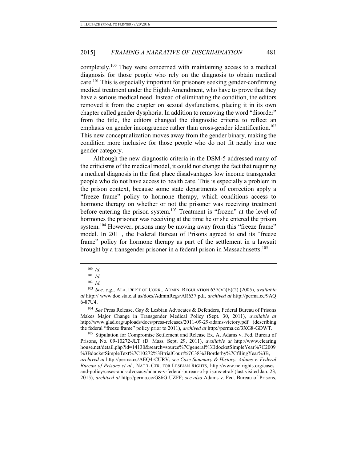completely.<sup>100</sup> They were concerned with maintaining access to a medical diagnosis for those people who rely on the diagnosis to obtain medical care.<sup>101</sup> This is especially important for prisoners seeking gender-confirming medical treatment under the Eighth Amendment, who have to prove that they have a serious medical need. Instead of eliminating the condition, the editors removed it from the chapter on sexual dysfunctions, placing it in its own chapter called gender dysphoria. In addition to removing the word "disorder" from the title, the editors changed the diagnostic criteria to reflect an emphasis on gender incongruence rather than cross-gender identification.<sup>102</sup> This new conceptualization moves away from the gender binary, making the condition more inclusive for those people who do not fit neatly into one gender category.

Although the new diagnostic criteria in the DSM-5 addressed many of the criticisms of the medical model, it could not change the fact that requiring a medical diagnosis in the first place disadvantages low income transgender people who do not have access to health care. This is especially a problem in the prison context, because some state departments of correction apply a "freeze frame" policy to hormone therapy, which conditions access to hormone therapy on whether or not the prisoner was receiving treatment before entering the prison system.<sup>103</sup> Treatment is "frozen" at the level of hormones the prisoner was receiving at the time he or she entered the prison system.<sup>104</sup> However, prisons may be moving away from this "freeze frame" model. In 2011, the Federal Bureau of Prisons agreed to end its "freeze frame" policy for hormone therapy as part of the settlement in a lawsuit brought by a transgender prisoner in a federal prison in Massachusetts.<sup>105</sup>

<sup>104</sup> *See* Press Release, Gay & Lesbian Advocates & Defenders, Federal Bureau of Prisons Makes Major Change in Transgender Medical Policy (Sept. 30, 2011), *available at*  http://www.glad.org/uploads/docs/press-releases/2011-09-29-adams-victory.pdf (describing the federal "freeze frame" policy prior to 2011), *archived at* http://perma.cc/3XG8-GDWT.

<sup>105</sup> Stipulation for Compromise Settlement and Release Ex. A, Adams v. Fed. Bureau of Prisons, No. 09-10272-JLT (D. Mass. Sept. 29, 2011), *available at* http://www.clearing house.net/detail.php?id=14130&search=source%7Cgeneral%3BdocketSimpleYear%7C2009 %3BdocketSimpleText%7C10272%3BtrialCourt%7C38%3Borderby%7CfilingYear%3B, *archived at* http://perma.cc/AEQ4-CURV; *see Case Summary & History: Adams v. Federal Bureau of Prisons et al.*, NAT'L CTR. FOR LESBIAN RIGHTS, http://www.nclrights.org/casesand-policy/cases-and-advocacy/adams-v-federal-bureau-of-prisons-et-al/ (last visited Jan. 23, 2015), *archived at* http://perma.cc/G86G-UZFF; *see also* Adams v. Fed. Bureau of Prisons,

<sup>100</sup> *Id.*

<sup>101</sup> *Id.*

<sup>102</sup> *Id.*

<sup>103</sup> *See, e.g.*, ALA. DEP'T OF CORR., ADMIN. REGULATION 637(V)(E)(2) (2005), *available at* http:// www.doc.state.al.us/docs/AdminRegs/AR637.pdf, *archived at* http://perma.cc/9AQ 6-87U4.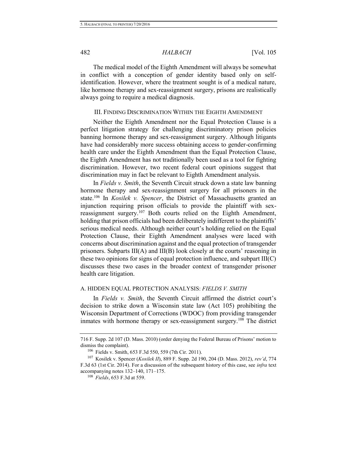The medical model of the Eighth Amendment will always be somewhat in conflict with a conception of gender identity based only on selfidentification. However, where the treatment sought is of a medical nature, like hormone therapy and sex-reassignment surgery, prisons are realistically always going to require a medical diagnosis.

# III. FINDING DISCRIMINATION WITHIN THE EIGHTH AMENDMENT

Neither the Eighth Amendment nor the Equal Protection Clause is a perfect litigation strategy for challenging discriminatory prison policies banning hormone therapy and sex-reassignment surgery. Although litigants have had considerably more success obtaining access to gender-confirming health care under the Eighth Amendment than the Equal Protection Clause, the Eighth Amendment has not traditionally been used as a tool for fighting discrimination. However, two recent federal court opinions suggest that discrimination may in fact be relevant to Eighth Amendment analysis.

In *Fields v. Smith*, the Seventh Circuit struck down a state law banning hormone therapy and sex-reassignment surgery for all prisoners in the state.<sup>106</sup> In *Kosilek v. Spencer*, the District of Massachusetts granted an injunction requiring prison officials to provide the plaintiff with sexreassignment surgery.<sup>107</sup> Both courts relied on the Eighth Amendment, holding that prison officials had been deliberately indifferent to the plaintiffs' serious medical needs. Although neither court's holding relied on the Equal Protection Clause, their Eighth Amendment analyses were laced with concerns about discrimination against and the equal protection of transgender prisoners. Subparts III(A) and III(B) look closely at the courts' reasoning in these two opinions for signs of equal protection influence, and subpart III(C) discusses these two cases in the broader context of transgender prisoner health care litigation.

#### A. HIDDEN EQUAL PROTECTION ANALYSIS: *FIELDS V. SMITH*

In *Fields v. Smith*, the Seventh Circuit affirmed the district court's decision to strike down a Wisconsin state law (Act 105) prohibiting the Wisconsin Department of Corrections (WDOC) from providing transgender inmates with hormone therapy or sex-reassignment surgery.<sup>108</sup> The district

<sup>716</sup> F. Supp. 2d 107 (D. Mass. 2010) (order denying the Federal Bureau of Prisons' motion to dismiss the complaint).

<sup>106</sup> Fields v. Smith, 653 F.3d 550, 559 (7th Cir. 2011).

<sup>107</sup> Kosilek v. Spencer (*Kosilek II*), 889 F. Supp. 2d 190, 204 (D. Mass. 2012), *rev'd*, 774 F.3d 63 (1st Cir. 2014). For a discussion of the subsequent history of this case, see *infra* text accompanying notes [132–](#page-24-0)[140,](#page-25-0) [171–](#page-29-0)[175.](#page-30-0) 

<sup>108</sup> *Fields*, 653 F.3d at 559.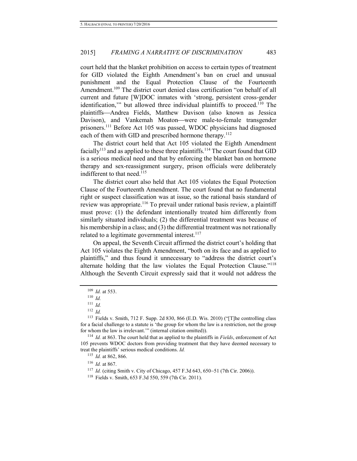court held that the blanket prohibition on access to certain types of treatment for GID violated the Eighth Amendment's ban on cruel and unusual punishment and the Equal Protection Clause of the Fourteenth Amendment.<sup>109</sup> The district court denied class certification "on behalf of all current and future [W]DOC inmates with 'strong, persistent cross-gender identification," but allowed three individual plaintiffs to proceed.<sup>110</sup> The plaintiffs-Andrea Fields, Matthew Davison (also known as Jessica Davison), and Vankemah Moaton—were male-to-female transgender prisoners.<sup>111</sup> Before Act 105 was passed, WDOC physicians had diagnosed each of them with GID and prescribed hormone therapy.<sup>112</sup>

The district court held that Act 105 violated the Eighth Amendment facially<sup>113</sup> and as applied to these three plaintiffs.<sup>114</sup> The court found that GID is a serious medical need and that by enforcing the blanket ban on hormone therapy and sex-reassignment surgery, prison officials were deliberately indifferent to that need.<sup>115</sup>

The district court also held that Act 105 violates the Equal Protection Clause of the Fourteenth Amendment. The court found that no fundamental right or suspect classification was at issue, so the rational basis standard of review was appropriate.<sup>116</sup> To prevail under rational basis review, a plaintiff must prove: (1) the defendant intentionally treated him differently from similarly situated individuals; (2) the differential treatment was because of his membership in a class; and (3) the differential treatment was not rationally related to a legitimate governmental interest. $117$ 

On appeal, the Seventh Circuit affirmed the district court's holding that Act 105 violates the Eighth Amendment, "both on its face and as applied to plaintiffs," and thus found it unnecessary to "address the district court's alternate holding that the law violates the Equal Protection Clause."<sup>118</sup> Although the Seventh Circuit expressly said that it would not address the

 $111$  *Id.* 

<sup>115</sup> *Id.* at 862, 866.

<sup>116</sup> *Id.* at 867.

<sup>109</sup> *Id.* at 553.

 $110$  *Id.* 

<sup>112</sup> *Id.*

<sup>113</sup> Fields v. Smith, 712 F. Supp. 2d 830, 866 (E.D. Wis. 2010) ("[T]he controlling class for a facial challenge to a statute is 'the group for whom the law is a restriction, not the group for whom the law is irrelevant.'" (internal citation omitted)).

<sup>114</sup> *Id.* at 863. The court held that as applied to the plaintiffs in *Fields*, enforcement of Act 105 prevents WDOC doctors from providing treatment that they have deemed necessary to treat the plaintiffs' serious medical conditions. *Id.* 

<sup>&</sup>lt;sup>117</sup> *Id.* (citing Smith v. City of Chicago, 457 F.3d 643, 650–51 (7th Cir. 2006)).

<sup>118</sup> Fields v. Smith, 653 F.3d 550, 559 (7th Cir. 2011).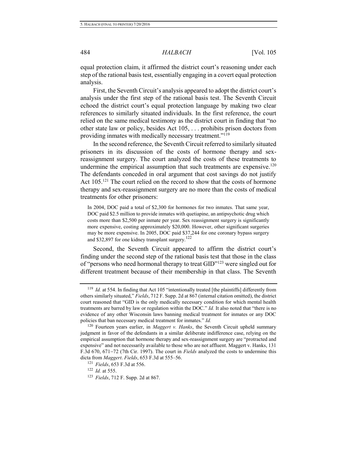equal protection claim, it affirmed the district court's reasoning under each step of the rational basis test, essentially engaging in a covert equal protection analysis.

First, the Seventh Circuit's analysis appeared to adopt the district court's analysis under the first step of the rational basis test. The Seventh Circuit echoed the district court's equal protection language by making two clear references to similarly situated individuals. In the first reference, the court relied on the same medical testimony as the district court in finding that "no other state law or policy, besides Act 105, . . . prohibits prison doctors from providing inmates with medically necessary treatment."<sup>119</sup>

In the second reference, the Seventh Circuit referred to similarly situated prisoners in its discussion of the costs of hormone therapy and sexreassignment surgery. The court analyzed the costs of these treatments to undermine the empirical assumption that such treatments are expensive.<sup>120</sup> The defendants conceded in oral argument that cost savings do not justify Act 105.<sup>121</sup> The court relied on the record to show that the costs of hormone therapy and sex-reassignment surgery are no more than the costs of medical treatments for other prisoners:

In 2004, DOC paid a total of \$2,300 for hormones for two inmates. That same year, DOC paid \$2.5 million to provide inmates with quetiapine, an antipsychotic drug which costs more than \$2,500 per inmate per year. Sex reassignment surgery is significantly more expensive, costing approximately \$20,000. However, other significant surgeries may be more expensive. In 2005, DOC paid \$37,244 for one coronary bypass surgery and \$32,897 for one kidney transplant surgery.<sup>122</sup>

Second, the Seventh Circuit appeared to affirm the district court's finding under the second step of the rational basis test that those in the class of "persons who need hormonal therapy to treat GID"<sup>123</sup> were singled out for different treatment because of their membership in that class. The Seventh

<sup>&</sup>lt;sup>119</sup> *Id.* at 554. In finding that Act 105 "intentionally treated [the plaintiffs] differently from others similarly situated," *Fields*, 712 F. Supp. 2d at 867 (internal citation omitted), the district court reasoned that "GID is the only medically necessary condition for which mental health treatments are barred by law or regulation within the DOC." *Id.* It also noted that "there is no evidence of any other Wisconsin laws banning medical treatment for inmates or any DOC policies that ban necessary medical treatment for inmates." *Id.*

<sup>120</sup> Fourteen years earlier, in *Maggert v. Hanks*, the Seventh Circuit upheld summary judgment in favor of the defendants in a similar deliberate indifference case, relying on the empirical assumption that hormone therapy and sex-reassignment surgery are "protracted and expensive" and not necessarily available to those who are not affluent. Maggert v. Hanks, 131 F.3d 670, 671-72 (7th Cir. 1997). The court in *Fields* analyzed the costs to undermine this dicta from *Maggert*. *Fields*, 653 F.3d at 555–56.

<sup>121</sup> *Fields*, 653 F.3d at 556.

<sup>122</sup> *Id.* at 555.

<sup>123</sup> *Fields*, 712 F. Supp. 2d at 867.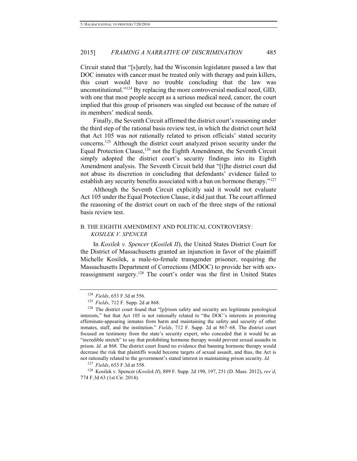Circuit stated that "[s]urely, had the Wisconsin legislature passed a law that DOC inmates with cancer must be treated only with therapy and pain killers, this court would have no trouble concluding that the law was unconstitutional."<sup>124</sup> By replacing the more controversial medical need, GID, with one that most people accept as a serious medical need, cancer, the court implied that this group of prisoners was singled out because of the nature of its members' medical needs.

Finally, the Seventh Circuit affirmed the district court's reasoning under the third step of the rational basis review test, in which the district court held that Act 105 was not rationally related to prison officials' stated security concerns.<sup>125</sup> Although the district court analyzed prison security under the Equal Protection Clause,<sup>126</sup> not the Eighth Amendment, the Seventh Circuit simply adopted the district court's security findings into its Eighth Amendment analysis. The Seventh Circuit held that "[t]he district court did not abuse its discretion in concluding that defendants' evidence failed to establish any security benefits associated with a ban on hormone therapy."<sup>127</sup>

Although the Seventh Circuit explicitly said it would not evaluate Act 105 under the Equal Protection Clause, it did just that. The court affirmed the reasoning of the district court on each of the three steps of the rational basis review test.

# B. THE EIGHTH AMENDMENT AND POLITICAL CONTROVERSY: *KOSILEK V. SPENCER*

In *Kosilek v. Spencer* (*Kosilek II*), the United States District Court for the District of Massachusetts granted an injunction in favor of the plaintiff Michelle Kosilek, a male-to-female transgender prisoner, requiring the Massachusetts Department of Corrections (MDOC) to provide her with sexreassignment surgery.<sup>128</sup> The court's order was the first in United States

<sup>127</sup> *Fields*, 653 F.3d at 558.

<sup>128</sup> Kosilek v. Spencer (*Kosilek II*), 889 F. Supp. 2d 190, 197, 251 (D. Mass. 2012), *rev'd*, 774 F.3d 63 (1st Cir. 2014).

<sup>124</sup> *Fields*, 653 F.3d at 556.

<sup>125</sup> *Fields*, 712 F. Supp. 2d at 868.

<sup>&</sup>lt;sup>126</sup> The district court found that "[p]rison safety and security are legitimate penological interests," but that Act 105 is not rationally related to "the DOC's interests in protecting effeminate-appearing inmates from harm and maintaining the safety and security of other inmates, staff, and the institution." *Fields*, 712 F. Supp. 2d at 867–68. The district court focused on testimony from the state's security expert, who conceded that it would be an "incredible stretch" to say that prohibiting hormone therapy would prevent sexual assaults in prison. *Id.* at 868. The district court found no evidence that banning hormone therapy would decrease the risk that plaintiffs would become targets of sexual assault, and thus, the Act is not rationally related to the government's stated interest in maintaining prison security. *Id.*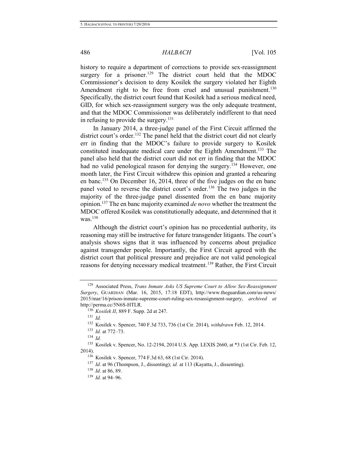history to require a department of corrections to provide sex-reassignment surgery for a prisoner.<sup>129</sup> The district court held that the MDOC Commissioner's decision to deny Kosilek the surgery violated her Eighth Amendment right to be free from cruel and unusual punishment.<sup>130</sup> Specifically, the district court found that Kosilek had a serious medical need, GID, for which sex-reassignment surgery was the only adequate treatment, and that the MDOC Commissioner was deliberately indifferent to that need in refusing to provide the surgery.<sup>131</sup>

<span id="page-24-0"></span>In January 2014, a three-judge panel of the First Circuit affirmed the district court's order.<sup>132</sup> The panel held that the district court did not clearly err in finding that the MDOC's failure to provide surgery to Kosilek constituted inadequate medical care under the Eighth Amendment.<sup>133</sup> The panel also held that the district court did not err in finding that the MDOC had no valid penological reason for denying the surgery.<sup>134</sup> However, one month later, the First Circuit withdrew this opinion and granted a rehearing en banc.<sup>135</sup> On December 16, 2014, three of the five judges on the en banc panel voted to reverse the district court's order.<sup>136</sup> The two judges in the majority of the three-judge panel dissented from the en banc majority opinion.<sup>137</sup> The en banc majority examined *de novo* whether the treatment the MDOC offered Kosilek was constitutionally adequate, and determined that it was $138$ 

Although the district court's opinion has no precedential authority, its reasoning may still be instructive for future transgender litigants. The court's analysis shows signs that it was influenced by concerns about prejudice against transgender people. Importantly, the First Circuit agreed with the district court that political pressure and prejudice are not valid penological reasons for denying necessary medical treatment.<sup>139</sup> Rather, the First Circuit

<sup>129</sup> Associated Press, *Trans Inmate Asks US Supreme Court to Allow Sex-Reassignment Surgery*, GUARDIAN (Mar. 16, 2015, 17:18 EDT), http://www.theguardian.com/us-news/ 2015/mar/16/prison-inmate-supreme-court-ruling-sex-resassignment-surgery, *archived at*  http://perma.cc/5N6S-HTLR.

<sup>130</sup> *Kosilek II*, 889 F. Supp. 2d at 247.

<sup>131</sup> *Id.*

<sup>132</sup> Kosilek v. Spencer, 740 F.3d 733, 736 (1st Cir. 2014), *withdrawn* Feb. 12, 2014.

<sup>133</sup> *Id.* at 772–73.

<sup>134</sup> *Id.*

<sup>135</sup> Kosilek v. Spencer, No. 12-2194, 2014 U.S. App. LEXIS 2660, at \*3 (1st Cir. Feb. 12, 2014).

<sup>136</sup> Kosilek v. Spencer, 774 F.3d 63, 68 (1st Cir. 2014).

<sup>137</sup> *Id.* at 96 (Thompson, J., dissenting); *id.* at 113 (Kayatta, J., dissenting).

<sup>138</sup> *Id.* at 86, 89.

<sup>139</sup> *Id.* at 94–96.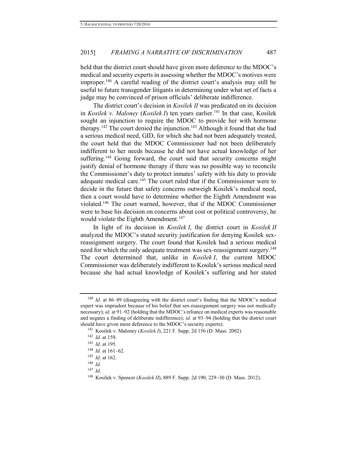<span id="page-25-0"></span>held that the district court should have given more deference to the MDOC's medical and security experts in assessing whether the MDOC's motives were improper.<sup>140</sup> A careful reading of the district court's analysis may still be useful to future transgender litigants in determining under what set of facts a judge may be convinced of prison officials' deliberate indifference.

The district court's decision in *Kosilek II* was predicated on its decision in *Kosilek v. Maloney* (*Kosilek I*) ten years earlier.<sup>141</sup> In that case, Kosilek sought an injunction to require the MDOC to provide her with hormone therapy.<sup>142</sup> The court denied the injunction.<sup>143</sup> Although it found that she had a serious medical need, GID, for which she had not been adequately treated, the court held that the MDOC Commissioner had not been deliberately indifferent to her needs because he did not have actual knowledge of her suffering.<sup>144</sup> Going forward, the court said that security concerns might justify denial of hormone therapy if there was no possible way to reconcile the Commissioner's duty to protect inmates' safety with his duty to provide adequate medical care.<sup>145</sup> The court ruled that if the Commissioner were to decide in the future that safety concerns outweigh Kosilek's medical need, then a court would have to determine whether the Eighth Amendment was violated.<sup>146</sup> The court warned, however, that if the MDOC Commissioner were to base his decision on concerns about cost or political controversy, he would violate the Eighth Amendment.<sup>147</sup>

In light of its decision in *Kosilek I*, the district court in *Kosilek II* analyzed the MDOC's stated security justification for denying Kosilek sexreassignment surgery. The court found that Kosilek had a serious medical need for which the only adequate treatment was sex-reassignment surgery.<sup>148</sup> The court determined that, unlike in *Kosilek I*, the current MDOC Commissioner was deliberately indifferent to Kosilek's serious medical need because she had actual knowledge of Kosilek's suffering and her stated

<sup>140</sup> *Id.* at 86–89 (disagreeing with the district court's finding that the MDOC's medical expert was imprudent because of his belief that sex-reassignment surgery was not medically necessary); *id.* at 91–92 (holding that the MDOC's reliance on medical experts was reasonable and negates a finding of deliberate indifference); *id.* at 93–94 (holding that the district court should have given more deference to the MDOC's security experts).

<sup>141</sup> Kosilek v. Maloney (*Kosilek I*), 221 F. Supp. 2d 156 (D. Mass. 2002).

<sup>142</sup> *Id.* at 159.

<sup>143</sup> *Id.* at 195.

<sup>144</sup> *Id.* at 161–62.

<sup>145</sup> *Id.* at 162.

 $146$  *Id.* 

<sup>147</sup> *Id.* 

<sup>&</sup>lt;sup>148</sup> Kosilek v. Spencer (*Kosilek II*), 889 F. Supp. 2d 190, 229–30 (D. Mass. 2012).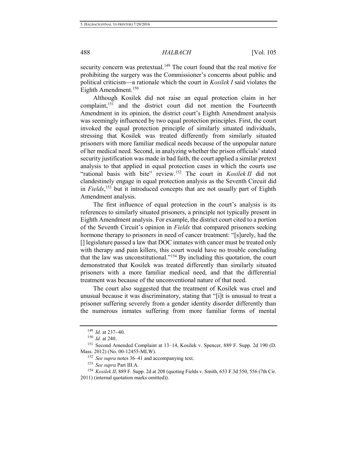security concern was pretextual.<sup>149</sup> The court found that the real motive for prohibiting the surgery was the Commissioner's concerns about public and political criticism—a rationale which the court in *Kosilek I* said violates the Eighth Amendment.<sup>150</sup>

Although Kosilek did not raise an equal protection claim in her complaint,<sup>151</sup> and the district court did not mention the Fourteenth Amendment in its opinion, the district court's Eighth Amendment analysis was seemingly influenced by two equal protection principles. First, the court invoked the equal protection principle of similarly situated individuals, stressing that Kosilek was treated differently from similarly situated prisoners with more familiar medical needs because of the unpopular nature of her medical need. Second, in analyzing whether the prison officials' stated security justification was made in bad faith, the court applied a similar pretext analysis to that applied in equal protection cases in which the courts use "rational basis with bite" review.<sup>152</sup> The court in *Kosilek II* did not clandestinely engage in equal protection analysis as the Seventh Circuit did in *Fields*, <sup>153</sup> but it introduced concepts that are not usually part of Eighth Amendment analysis.

The first influence of equal protection in the court's analysis is its references to similarly situated prisoners, a principle not typically present in Eighth Amendment analysis. For example, the district court cited to a portion of the Seventh Circuit's opinion in *Fields* that compared prisoners seeking hormone therapy to prisoners in need of cancer treatment: "[s]urely, had the [] legislature passed a law that DOC inmates with cancer must be treated only with therapy and pain killers, this court would have no trouble concluding that the law was unconstitutional."<sup>154</sup> By including this quotation, the court demonstrated that Kosilek was treated differently than similarly situated prisoners with a more familiar medical need, and that the differential treatment was because of the unconventional nature of that need.

The court also suggested that the treatment of Kosilek was cruel and unusual because it was discriminatory, stating that "[i]t is unusual to treat a prisoner suffering severely from a gender identity disorder differently than the numerous inmates suffering from more familiar forms of mental

<sup>&</sup>lt;sup>149</sup> *Id.* at 237-40.

<sup>150</sup> *Id.* at 240.

<sup>151</sup> Second Amended Complaint at 13–14, Kosilek v. Spencer, 889 F. Supp. 2d 190 (D. Mass. 2012) (No. 00-12455-MLW).

<sup>152</sup> *See supra* note[s 36–](#page-9-0)[41](#page-9-1) and accompanying text.

<sup>153</sup> *See supra* Part III.A.

<sup>154</sup> *Kosilek II*, 889 F. Supp. 2d at 208 (quoting Fields v. Smith, 653 F.3d 550, 556 (7th Cir.

<sup>2011) (</sup>internal quotation marks omitted)).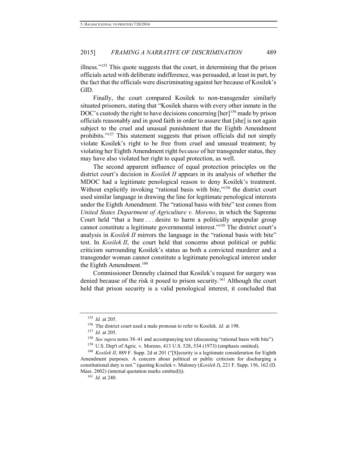illness."<sup>155</sup> This quote suggests that the court, in determining that the prison officials acted with deliberate indifference, was persuaded, at least in part, by the fact that the officials were discriminating against her because of Kosilek's GID.

Finally, the court compared Kosilek to non-transgender similarly situated prisoners, stating that "Kosilek shares with every other inmate in the DOC's custody the right to have decisions concerning [her]<sup>156</sup> made by prison officials reasonably and in good faith in order to assure that [she] is not again subject to the cruel and unusual punishment that the Eighth Amendment prohibits."<sup>157</sup> This statement suggests that prison officials did not simply violate Kosilek's right to be free from cruel and unusual treatment; by violating her Eighth Amendment right *because* of her transgender status, they may have also violated her right to equal protection, as well.

The second apparent influence of equal protection principles on the district court's decision in *Kosilek II* appears in its analysis of whether the MDOC had a legitimate penological reason to deny Kosilek's treatment. Without explicitly invoking "rational basis with bite,"<sup>158</sup> the district court used similar language in drawing the line for legitimate penological interests under the Eighth Amendment. The "rational basis with bite" test comes from *United States Department of Agriculture v. Moreno*, in which the Supreme Court held "that a bare . . . desire to harm a politically unpopular group cannot constitute a legitimate governmental interest."<sup>159</sup> The district court's analysis in *Kosilek II* mirrors the language in the "rational basis with bite" test. In *Kosilek II*, the court held that concerns about political or public criticism surrounding Kosilek's status as both a convicted murderer and a transgender woman cannot constitute a legitimate penological interest under the Eighth Amendment.<sup>160</sup>

Commissioner Dennehy claimed that Kosilek's request for surgery was denied because of the risk it posed to prison security.<sup>161</sup> Although the court held that prison security is a valid penological interest, it concluded that

<sup>155</sup> *Id.* at 205.

<sup>156</sup> The district court used a male pronoun to refer to Kosilek. *Id.* at 198.

<sup>157</sup> *Id.* at 205.

<sup>158</sup> *See supra* note[s 38–](#page-9-2)[41](#page-9-1) and accompanying text (discussing "rational basis with bite").

 $159$  U.S. Dep't of Agric. v. Moreno, 413 U.S. 528, 534 (1973) (emphasis omitted).

<sup>&</sup>lt;sup>160</sup> *Kosilek II*, 889 F. Supp. 2d at 201 ("[S]ecurity is a legitimate consideration for Eighth Amendment purposes. A concern about political or public criticism for discharging a constitutional duty is not." (quoting Kosilek v. Maloney (*Kosilek I*), 221 F. Supp. 156, 162 (D. Mass. 2002) (internal quotation marks omitted))).

<sup>161</sup> *Id.* at 240.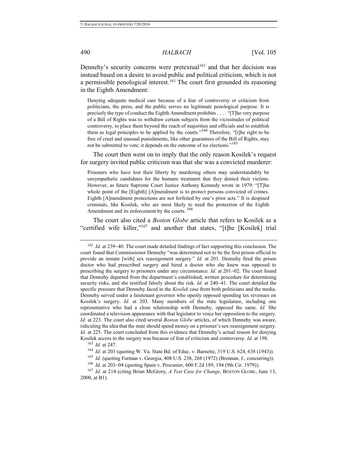## 490 *HALBACH* [Vol. 105

Dennehy's security concerns were pretextual<sup>162</sup> and that her decision was instead based on a desire to avoid public and political criticism, which is not a permissible penological interest.<sup>163</sup> The court first grounded its reasoning in the Eighth Amendment:

<span id="page-28-0"></span>Denying adequate medical care because of a fear of controversy or criticism from politicians, the press, and the public serves no legitimate penological purpose. It is precisely the type of conduct the Eighth Amendment prohibits . . . . "[T]he very purpose of a Bill of Rights was to withdraw certain subjects from the vicissitudes of political controversy, to place them beyond the reach of majorities and officials and to establish them as legal principles to be applied by the courts."<sup>164</sup> Therefore, "[t]he right to be free of cruel and unusual punishments, like other guarantees of the Bill of Rights, may not be submitted to vote; it depends on the outcome of no elections."<sup>165</sup>

The court then went on to imply that the only reason Kosilek's request for surgery invited public criticism was that she was a convicted murderer:

Prisoners who have lost their liberty by murdering others may understandably be unsympathetic candidates for the humane treatment that they denied their victims. However, as future Supreme Court Justice Anthony Kennedy wrote in 1979: "[T]he whole point of the [Eighth] [A]mendment is to protect persons convicted of crimes. Eighth [A]mendment protections are not forfeited by one's prior acts." It is despised criminals, like Kosilek, who are most likely to need the protection of the Eighth Amendment and its enforcement by the courts.  $166$ 

The court also cited a *Boston Globe* article that refers to Kosilek as a "certified wife killer,"<sup>167</sup> and another that states, "[t]he [Kosilek] trial

<sup>&</sup>lt;sup>162</sup> *Id.* at 239–40. The court made detailed findings of fact supporting this conclusion. The court found that Commissioner Dennehy "was determined not to be the first prison official to provide an inmate [with] sex reassignment surgery." *Id.* at 201. Dennehy fired the prison doctor who had prescribed surgery and hired a doctor who she knew was opposed to prescribing the surgery to prisoners under any circumstance. *Id.* at 201–02. The court found that Dennehy departed from the department's established, written procedure for determining security risks, and she testified falsely about the risk. *Id.* at 240–41. The court detailed the specific pressure that Dennehy faced in the *Kosilek* case from both politicians and the media. Dennehy served under a lieutenant governor who openly opposed spending tax revenues on Kosilek's surgery. *Id.* at 203. Many members of the state legislature, including one representative who had a close relationship with Dennehy, opposed the same. *Id.* She coordinated a television appearance with that legislator to voice her opposition to the surgery. *Id.* at 223. The court also cited several *Boston Globe* articles, of which Dennehy was aware, ridiculing the idea that the state should spend money on a prisoner's sex-reassignment surgery. *Id.* at 225. The court concluded from this evidence that Dennehy's actual reason for denying Kosilek access to the surgery was because of fear of criticism and controversy. *Id.* at 198.

<sup>163</sup> *Id.* at 247.

<sup>&</sup>lt;sup>164</sup> *Id.* at 203 (quoting W. Va. State Bd. of Educ. v. Barnette, 319 U.S. 624, 638 (1943)).

<sup>165</sup> *Id.* (quoting Furman v. Georgia, 408 U.S. 238, 268 (1972) (Brennan, J., concurring)).

<sup>&</sup>lt;sup>166</sup> *Id.* at 203–04 (quoting Spain v. Procunier, 600 F.2d 189, 194 (9th Cir. 1979)).

<sup>167</sup> *Id.* at 214 (citing Brian McGrory, *A Test Case for Change*, BOSTON GLOBE, June 13, 2000, at B1).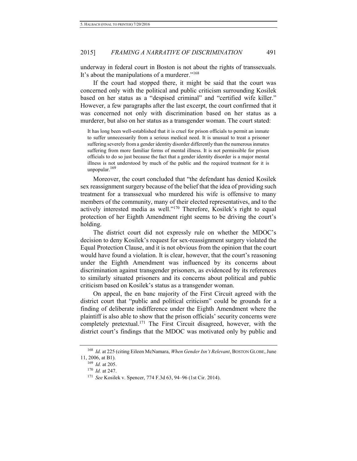underway in federal court in Boston is not about the rights of transsexuals. It's about the manipulations of a murderer."<sup>168</sup>

If the court had stopped there, it might be said that the court was concerned only with the political and public criticism surrounding Kosilek based on her status as a "despised criminal" and "certified wife killer." However, a few paragraphs after the last excerpt, the court confirmed that it was concerned not only with discrimination based on her status as a murderer, but also on her status as a transgender woman. The court stated:

It has long been well-established that it is cruel for prison officials to permit an inmate to suffer unnecessarily from a serious medical need. It is unusual to treat a prisoner suffering severely from a gender identity disorder differently than the numerous inmates suffering from more familiar forms of mental illness. It is not permissible for prison officials to do so just because the fact that a gender identity disorder is a major mental illness is not understood by much of the public and the required treatment for it is unpopular.<sup>169</sup>

Moreover, the court concluded that "the defendant has denied Kosilek sex reassignment surgery because of the belief that the idea of providing such treatment for a transsexual who murdered his wife is offensive to many members of the community, many of their elected representatives, and to the actively interested media as well."<sup>170</sup> Therefore, Kosilek's right to equal protection of her Eighth Amendment right seems to be driving the court's holding.

The district court did not expressly rule on whether the MDOC's decision to deny Kosilek's request for sex-reassignment surgery violated the Equal Protection Clause, and it is not obvious from the opinion that the court would have found a violation. It is clear, however, that the court's reasoning under the Eighth Amendment was influenced by its concerns about discrimination against transgender prisoners, as evidenced by its references to similarly situated prisoners and its concerns about political and public criticism based on Kosilek's status as a transgender woman.

On appeal, the en banc majority of the First Circuit agreed with the district court that "public and political criticism" could be grounds for a finding of deliberate indifference under the Eighth Amendment where the plaintiff is also able to show that the prison officials' security concerns were completely pretextual.<sup>171</sup> The First Circuit disagreed, however, with the district court's findings that the MDOC was motivated only by public and

<span id="page-29-0"></span><sup>168</sup> *Id.* at 225 (citing Eileen McNamara, *When Gender Isn't Relevant*, BOSTON GLOBE, June 11, 2006, at B1).

<sup>169</sup> *Id.* at 205.

<sup>170</sup> *Id.* at 247.

<sup>171</sup> *See* Kosilek v. Spencer, 774 F.3d 63, 94–96 (1st Cir. 2014).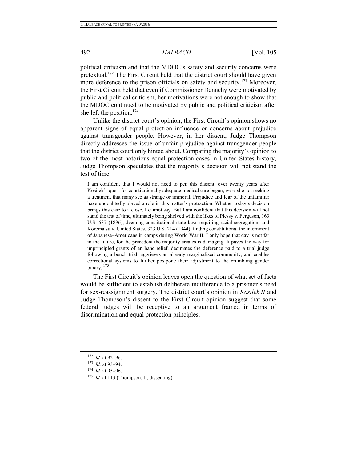### 492 *HALBACH* [Vol. 105

political criticism and that the MDOC's safety and security concerns were pretextual.<sup>172</sup> The First Circuit held that the district court should have given more deference to the prison officials on safety and security.<sup>173</sup> Moreover, the First Circuit held that even if Commissioner Dennehy were motivated by public and political criticism, her motivations were not enough to show that the MDOC continued to be motivated by public and political criticism after she left the position. $174$ 

Unlike the district court's opinion, the First Circuit's opinion shows no apparent signs of equal protection influence or concerns about prejudice against transgender people. However, in her dissent, Judge Thompson directly addresses the issue of unfair prejudice against transgender people that the district court only hinted about. Comparing the majority's opinion to two of the most notorious equal protection cases in United States history, Judge Thompson speculates that the majority's decision will not stand the test of time:

I am confident that I would not need to pen this dissent, over twenty years after Kosilek's quest for constitutionally adequate medical care began, were she not seeking a treatment that many see as strange or immoral. Prejudice and fear of the unfamiliar have undoubtedly played a role in this matter's protraction. Whether today's decision brings this case to a close, I cannot say. But I am confident that this decision will not stand the test of time, ultimately being shelved with the likes of Plessy v. Ferguson, 163 U.S. 537 (1896), deeming constitutional state laws requiring racial segregation, and Korematsu v. United States, 323 U.S. 214 (1944), finding constitutional the internment of Japanese–Americans in camps during World War II. I only hope that day is not far in the future, for the precedent the majority creates is damaging. It paves the way for unprincipled grants of en banc relief, decimates the deference paid to a trial judge following a bench trial, aggrieves an already marginalized community, and enables correctional systems to further postpone their adjustment to the crumbling gender binary.  $175$ 

<span id="page-30-0"></span> The First Circuit's opinion leaves open the question of what set of facts would be sufficient to establish deliberate indifference to a prisoner's need for sex-reassignment surgery. The district court's opinion in *Kosilek II* and Judge Thompson's dissent to the First Circuit opinion suggest that some federal judges will be receptive to an argument framed in terms of discrimination and equal protection principles.

<sup>172</sup> *Id.* at 92–96.

<sup>173</sup> *Id.* at 93–94.

<sup>174</sup> *Id.* at 95–96.

<sup>175</sup> *Id.* at 113 (Thompson, J., dissenting).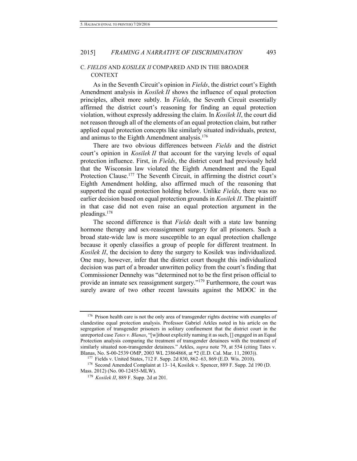# C. *FIELDS* AND *KOSILEK II* COMPARED AND IN THE BROADER CONTEXT

As in the Seventh Circuit's opinion in *Fields*, the district court's Eighth Amendment analysis in *Kosilek II* shows the influence of equal protection principles, albeit more subtly. In *Fields*, the Seventh Circuit essentially affirmed the district court's reasoning for finding an equal protection violation, without expressly addressing the claim. In *Kosilek II*, the court did not reason through all of the elements of an equal protection claim, but rather applied equal protection concepts like similarly situated individuals, pretext, and animus to the Eighth Amendment analysis.<sup>176</sup>

There are two obvious differences between *Fields* and the district court's opinion in *Kosilek II* that account for the varying levels of equal protection influence. First, in *Fields*, the district court had previously held that the Wisconsin law violated the Eighth Amendment and the Equal Protection Clause.<sup>177</sup> The Seventh Circuit, in affirming the district court's Eighth Amendment holding, also affirmed much of the reasoning that supported the equal protection holding below. Unlike *Fields*, there was no earlier decision based on equal protection grounds in *Kosilek II*. The plaintiff in that case did not even raise an equal protection argument in the pleadings.<sup>178</sup>

The second difference is that *Fields* dealt with a state law banning hormone therapy and sex-reassignment surgery for all prisoners. Such a broad state-wide law is more susceptible to an equal protection challenge because it openly classifies a group of people for different treatment. In *Kosilek II*, the decision to deny the surgery to Kosilek was individualized. One may, however, infer that the district court thought this individualized decision was part of a broader unwritten policy from the court's finding that Commissioner Dennehy was "determined not to be the first prison official to provide an inmate sex reassignment surgery."<sup>179</sup> Furthermore, the court was surely aware of two other recent lawsuits against the MDOC in the

<sup>&</sup>lt;sup>176</sup> Prison health care is not the only area of transgender rights doctrine with examples of clandestine equal protection analysis. Professor Gabriel Arkles noted in his article on the segregation of transgender prisoners in solitary confinement that the district court in the unreported case *Tates v. Blanas*, "[w]ithout explicitly naming it as such, [] engaged in an Equal Protection analysis comparing the treatment of transgender detainees with the treatment of similarly situated non-transgender detainees." Arkles, *supra* note [79,](#page-15-0) at 554 (citing Tates v. Blanas, No. S-00-2539 OMP, 2003 WL 23864868, at \*2 (E.D. Cal. Mar. 11, 2003)).

<sup>177</sup> Fields v. United States, 712 F. Supp. 2d 830, 862–63, 869 (E.D. Wis. 2010).

<sup>178</sup> Second Amended Complaint at 13–14, Kosilek v. Spencer, 889 F. Supp. 2d 190 (D. Mass. 2012) (No. 00-12455-MLW).

<sup>179</sup> *Kosilek II*, 889 F. Supp. 2d at 201.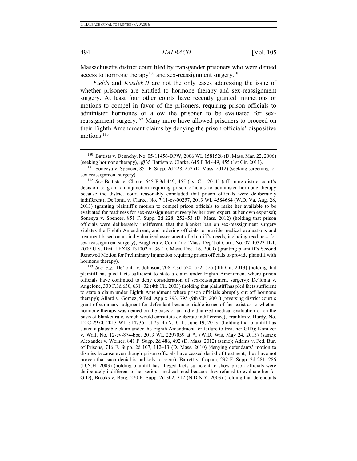Massachusetts district court filed by transgender prisoners who were denied access to hormone therapy<sup>180</sup> and sex-reassignment surgery.<sup>181</sup>

*Fields* and *Kosilek II* are not the only cases addressing the issue of whether prisoners are entitled to hormone therapy and sex-reassignment surgery. At least four other courts have recently granted injunctions or motions to compel in favor of the prisoners, requiring prison officials to administer hormones or allow the prisoner to be evaluated for sexreassignment surgery.<sup>182</sup> Many more have allowed prisoners to proceed on their Eighth Amendment claims by denying the prison officials' dispositive motions.<sup>183</sup>

<sup>182</sup> *See* Battista v. Clarke, 645 F.3d 449, 455 (1st Cir. 2011) (affirming district court's decision to grant an injunction requiring prison officials to administer hormone therapy because the district court reasonably concluded that prison officials were deliberately indifferent); De'lonta v. Clarke, No. 7:11-cv-00257, 2013 WL 4584684 (W.D. Va. Aug. 28, 2013) (granting plaintiff's motion to compel prison officials to make her available to be evaluated for readiness for sex-reassignment surgery by her own expert, at her own expense); Soneeya v. Spencer, 851 F. Supp. 2d 228, 252–53 (D. Mass. 2012) (holding that prison officials were deliberately indifferent, that the blanket ban on sex-reassignment surgery violates the Eighth Amendment, and ordering officials to provide medical evaluations and treatment based on an individualized assessment of plaintiff's needs, including readiness for sex-reassignment surgery); Brugliera v. Comm'r of Mass. Dep't of Corr., No. 07-40323-JLT, 2009 U.S. Dist. LEXIS 131002 at 36 (D. Mass. Dec. 16, 2009) (granting plaintiff's Second Renewed Motion for Preliminary Injunction requiring prison officials to provide plaintiff with hormone therapy).

<sup>183</sup> *See, e.g.*, De'lonta v. Johnson, 708 F.3d 520, 522, 525 (4th Cir. 2013) (holding that plaintiff has pled facts sufficient to state a claim under Eighth Amendment where prison officials have continued to deny consideration of sex-reassignment surgery); De'lonta v. Angelone,  $330$  F.3d  $630$ ,  $631-32$  (4th Cir. 2003) (holding that plaintiff has pled facts sufficient to state a claim under Eighth Amendment where prison officials abruptly cut off hormone therapy); Allard v. Gomez, 9 Fed. App'x 793, 795 (9th Cir. 2001) (reversing district court's grant of summary judgment for defendant because triable issues of fact exist as to whether hormone therapy was denied on the basis of an individualized medical evaluation or on the basis of blanket rule, which would constitute deliberate indifference); Franklin v. Hardy, No. 12 C 2970, 2013 WL 3147365 at \*3–4 (N.D. Ill. June 19, 2013) (holding that plaintiff has stated a plausible claim under the Eighth Amendment for failure to treat her GID); Konitzer v. Wall, No. 12-cv-874-bbc, 2013 WL 2297059 at \*1 (W.D. Wis. May 24, 2013) (same); Alexander v. Weiner, 841 F. Supp. 2d 486, 492 (D. Mass. 2012) (same); Adams v. Fed. Bur. of Prisons, 716 F. Supp. 2d 107, 112–13 (D. Mass. 2010) (denying defendants' motion to dismiss because even though prison officials have ceased denial of treatment, they have not proven that such denial is unlikely to recur); Barrett v. Coplan, 292 F. Supp. 2d 281, 286 (D.N.H. 2003) (holding plaintiff has alleged facts sufficient to show prison officials were deliberately indifferent to her serious medical need because they refused to evaluate her for GID); Brooks v. Berg, 270 F. Supp. 2d 302, 312 (N.D.N.Y. 2003) (holding that defendants

<sup>180</sup> Battista v. Dennehy, No. 05-11456-DPW, 2006 WL 1581528 (D. Mass. Mar. 22, 2006) (seeking hormone therapy), *aff'd*, Battista v. Clarke, 645 F.3d 449, 455 (1st Cir. 2011).

<sup>181</sup> Soneeya v. Spencer, 851 F. Supp. 2d 228, 252 (D. Mass. 2012) (seeking screening for sex-reassignment surgery).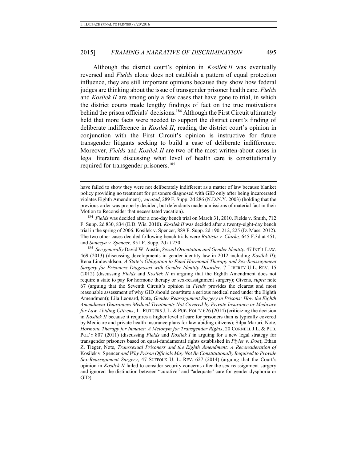Although the district court's opinion in *Kosilek II* was eventually reversed and *Fields* alone does not establish a pattern of equal protection influence, they are still important opinions because they show how federal judges are thinking about the issue of transgender prisoner health care. *Fields* and *Kosilek II* are among only a few cases that have gone to trial, in which the district courts made lengthy findings of fact on the true motivations behind the prison officials' decisions.<sup>184</sup> Although the First Circuit ultimately held that more facts were needed to support the district court's finding of deliberate indifference in *Kosilek II*, reading the district court's opinion in conjunction with the First Circuit's opinion is instructive for future transgender litigants seeking to build a case of deliberate indifference. Moreover, *Fields* and *Kosilek II* are two of the most written-about cases in legal literature discussing what level of health care is constitutionally required for transgender prisoners.<sup>185</sup>

<sup>184</sup> *Fields* was decided after a one-day bench trial on March 31, 2010. Fields v. Smith, 712 F. Supp. 2d 830, 834 (E.D. Wis. 2010). *Kosilek II* was decided after a twenty-eight-day bench trial in the spring of 2006. Kosilek v. Spencer, 889 F. Supp. 2d 190, 212, 225 (D. Mass. 2012). The two other cases decided following bench trials were *Battista v. Clarke,* 645 F.3d at 451, and *Soneeya v. Spencer*, 851 F. Supp. 2d at 230.

<sup>185</sup> *See generally* David W. Austin, *Sexual Orientation and Gender Identity*, 47 INT'L LAW. 469 (2013) (discussing developments in gender identity law in 2012 including *Kosilek II*); Rena Lindevaldson, *A State's Obligation to Fund Hormonal Therapy and Sex-Reassignment Surgery for Prisoners Diagnosed with Gender Identity Disorder*, 7 LIBERTY U.L. REV. 15 (2012) (discussing *Fields* and *Kosilek II* in arguing that the Eighth Amendment does not require a state to pay for hormone therapy or sex-reassignment surgery); Givens, *supra* note [67](#page-13-0) (arguing that the Seventh Circuit's opinion in *Fields* provides the clearest and most reasonable assessment of why GID should constitute a serious medical need under the Eighth Amendment); Lila Leonard, Note, *Gender Reassignment Surgery in Prisons: How the Eighth Amendment Guarantees Medical Treatments Not Covered by Private Insurance or Medicare for Law-Abiding Citizens*, 11 RUTGERS J. L. & PUB. POL'Y 626 (2014) (criticizing the decision in *Kosilek II* because it requires a higher level of care for prisoners than is typically covered by Medicare and private health insurance plans for law-abiding citizens); Silpa Maruri, Note, *Hormone Therapy for Inmates: A Metonym for Transgender Rights*, 20 CORNELL J.L. & PUB. POL'Y 807 (2011) (discussing *Fields* and *Kosilek I* in arguing for a new legal strategy for transgender prisoners based on quasi-fundamental rights established in *Plyler v. Doe*); Ethan Z. Tieger, Note, *Transsexual Prisoners and the Eighth Amendment: A Reconsideration of*  Kosilek v. Spencer *and Why Prison Officials May Not Be Constitutionally Required to Provide Sex-Reassignment Surgery*, 47 SUFFOLK U. L. REV. 627 (2014) (arguing that the Court's opinion in *Kosilek II* failed to consider security concerns after the sex-reassignment surgery and ignored the distinction between "curative" and "adequate" care for gender dysphoria or GID).

have failed to show they were not deliberately indifferent as a matter of law because blanket policy providing no treatment for prisoners diagnosed with GID only after being incarcerated violates Eighth Amendment), *vacated*, 289 F. Supp. 2d 286 (N.D.N.Y. 2003) (holding that the previous order was properly decided, but defendants made admissions of material fact in their Motion to Reconsider that necessitated vacation).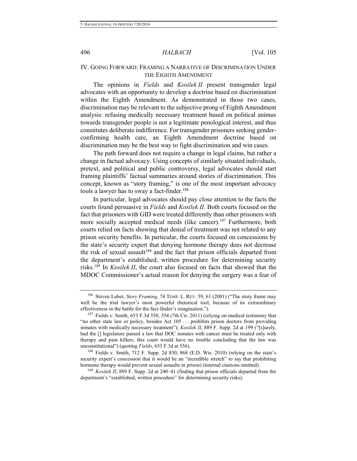# IV. GOING FORWARD: FRAMING A NARRATIVE OF DISCRIMINATION UNDER THE EIGHTH AMENDMENT

The opinions in *Fields* and *Kosilek II* present transgender legal advocates with an opportunity to develop a doctrine based on discrimination within the Eighth Amendment. As demonstrated in those two cases, discrimination may be relevant to the subjective prong of Eighth Amendment analysis: refusing medically necessary treatment based on political animus towards transgender people is not a legitimate penological interest, and thus constitutes deliberate indifference. For transgender prisoners seeking genderconfirming health care, an Eighth Amendment doctrine based on discrimination may be the best way to fight discrimination and win cases.

The path forward does not require a change in legal claims, but rather a change in factual advocacy. Using concepts of similarly situated individuals, pretext, and political and public controversy, legal advocates should start framing plaintiffs' factual summaries around stories of discrimination. This concept, known as "story framing," is one of the most important advocacy tools a lawyer has to sway a fact-finder.<sup>186</sup>

In particular, legal advocates should pay close attention to the facts the courts found persuasive in *Fields* and *Kosilek II*. Both courts focused on the fact that prisoners with GID were treated differently than other prisoners with more socially accepted medical needs (like cancer).<sup>187</sup> Furthermore, both courts relied on facts showing that denial of treatment was not related to any prison security benefits. In particular, the courts focused on concessions by the state's security expert that denying hormone therapy does not decrease the risk of sexual assault<sup>188</sup> and the fact that prison officials departed from the department's established, written procedure for determining security risks.<sup>189</sup> In *Kosilek II*, the court also focused on facts that showed that the MDOC Commissioner's actual reason for denying the surgery was a fear of

<sup>186</sup> Steven Lubet, *Story Framing*, 74 TEMP. L. REV. 59, 61 (2001) ("The story frame may well be the trial lawyer's most powerful rhetorical tool, because of its extraordinary effectiveness in the battle for the fact-finder's imagination.").

<sup>187</sup> Fields v. Smith, 653 F.3d 550, 554 (7th Cir. 2011) (relying on medical testimony that "no other state law or policy, besides Act 105 . . . prohibits prison doctors from providing inmates with medically necessary treatment"); *Kosilek II*, 889 F. Supp. 2d at 199 ("[s]urely, had the  $\iota$  legislature passed a law that DOC inmates with cancer must be treated only with therapy and pain killers, this court would have no trouble concluding that the law was unconstitutional") (quoting *Fields*, 653 F.3d at 556).

<sup>188</sup> Fields v. Smith, 712 F. Supp. 2d 830, 868 (E.D. Wis. 2010) (relying on the state's security expert's concession that it would be an "incredible stretch" to say that prohibiting hormone therapy would prevent sexual assaults in prison) (internal citations omitted).

<sup>189</sup> *Kosilek II*, 889 F. Supp. 2d at 240–41 (finding that prison officials departed from the department's "established, written procedure" for determining security risks).